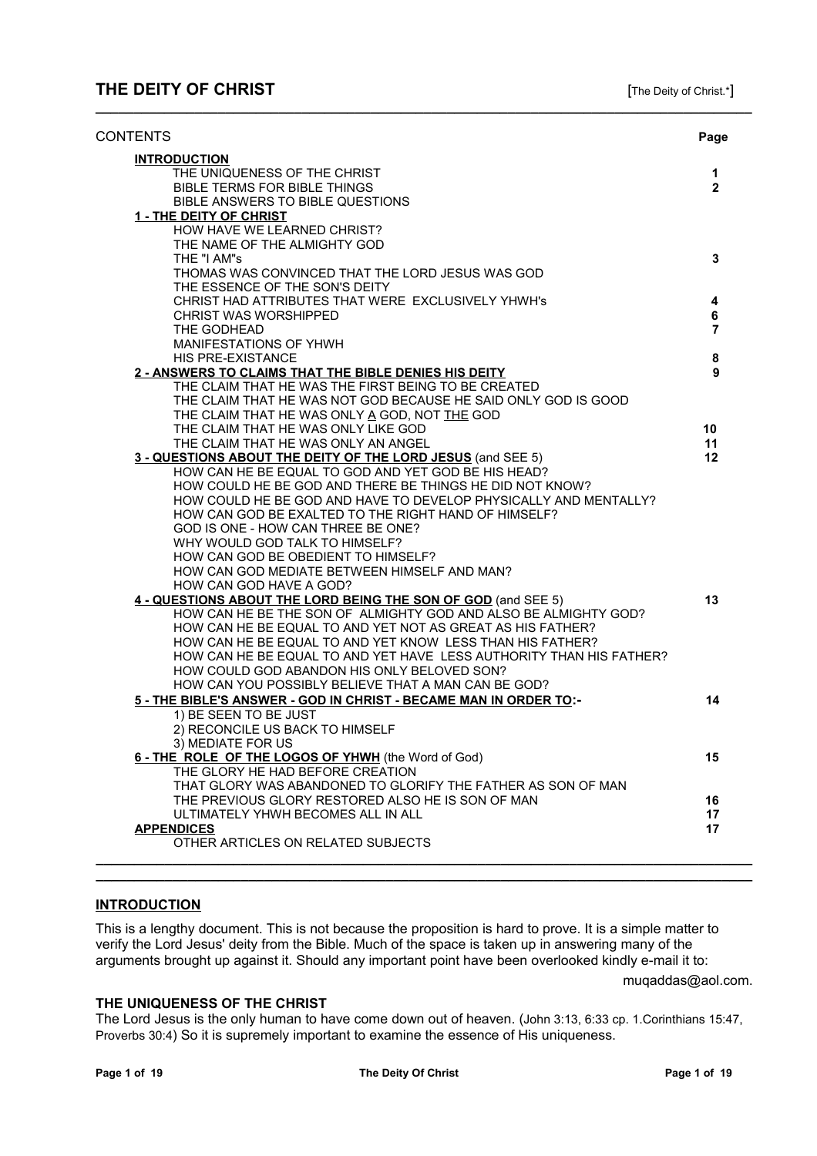| CONTENTS                                                                                                                         | Page         |
|----------------------------------------------------------------------------------------------------------------------------------|--------------|
| <b>INTRODUCTION</b>                                                                                                              |              |
| THE UNIQUENESS OF THE CHRIST                                                                                                     | 1            |
| <b>BIBLE TERMS FOR BIBLE THINGS</b>                                                                                              | $\mathbf{2}$ |
| BIBLE ANSWERS TO BIBLE QUESTIONS                                                                                                 |              |
| 1 - THE DEITY OF CHRIST                                                                                                          |              |
| HOW HAVE WE LEARNED CHRIST?                                                                                                      |              |
| THE NAME OF THE ALMIGHTY GOD                                                                                                     |              |
| THE "I AM"s                                                                                                                      | 3            |
| THOMAS WAS CONVINCED THAT THE LORD JESUS WAS GOD                                                                                 |              |
| THE ESSENCE OF THE SON'S DEITY                                                                                                   |              |
| CHRIST HAD ATTRIBUTES THAT WERE EXCLUSIVELY YHWH's                                                                               | 4            |
| <b>CHRIST WAS WORSHIPPED</b>                                                                                                     | 6            |
| THE GODHEAD                                                                                                                      | 7            |
| <b>MANIFESTATIONS OF YHWH</b>                                                                                                    |              |
| <b>HIS PRE-EXISTANCE</b>                                                                                                         | 8            |
| 2 - ANSWERS TO CLAIMS THAT THE BIBLE DENIES HIS DEITY                                                                            | 9            |
| THE CLAIM THAT HE WAS THE FIRST BEING TO BE CREATED                                                                              |              |
| THE CLAIM THAT HE WAS NOT GOD BECAUSE HE SAID ONLY GOD IS GOOD                                                                   |              |
| THE CLAIM THAT HE WAS ONLY A GOD, NOT THE GOD                                                                                    |              |
| THE CLAIM THAT HE WAS ONLY LIKE GOD                                                                                              | 10           |
| THE CLAIM THAT HE WAS ONLY AN ANGEL                                                                                              | 11           |
| 3 - QUESTIONS ABOUT THE DEITY OF THE LORD JESUS (and SEE 5)                                                                      | $12 \,$      |
| HOW CAN HE BE EQUAL TO GOD AND YET GOD BE HIS HEAD?                                                                              |              |
| HOW COULD HE BE GOD AND THERE BE THINGS HE DID NOT KNOW?                                                                         |              |
| HOW COULD HE BE GOD AND HAVE TO DEVELOP PHYSICALLY AND MENTALLY?                                                                 |              |
| HOW CAN GOD BE EXALTED TO THE RIGHT HAND OF HIMSELF?                                                                             |              |
| GOD IS ONE - HOW CAN THREE BE ONE?                                                                                               |              |
| WHY WOULD GOD TALK TO HIMSELF?                                                                                                   |              |
| HOW CAN GOD BE OBEDIENT TO HIMSELF?                                                                                              |              |
| HOW CAN GOD MEDIATE BETWEEN HIMSELF AND MAN?                                                                                     |              |
| HOW CAN GOD HAVE A GOD?                                                                                                          |              |
| 4 - QUESTIONS ABOUT THE LORD BEING THE SON OF GOD (and SEE 5)<br>HOW CAN HE BE THE SON OF ALMIGHTY GOD AND ALSO BE ALMIGHTY GOD? | 13           |
| HOW CAN HE BE EQUAL TO AND YET NOT AS GREAT AS HIS FATHER?                                                                       |              |
| HOW CAN HE BE EQUAL TO AND YET KNOW LESS THAN HIS FATHER?                                                                        |              |
| HOW CAN HE BE EQUAL TO AND YET HAVE LESS AUTHORITY THAN HIS FATHER?                                                              |              |
| HOW COULD GOD ABANDON HIS ONLY BELOVED SON?                                                                                      |              |
| HOW CAN YOU POSSIBLY BELIEVE THAT A MAN CAN BE GOD?                                                                              |              |
| 5 - THE BIBLE'S ANSWER - GOD IN CHRIST - BECAME MAN IN ORDER TO:-                                                                | 14           |
| 1) BE SEEN TO BE JUST                                                                                                            |              |
| 2) RECONCILE US BACK TO HIMSELF                                                                                                  |              |
| 3) MEDIATE FOR US                                                                                                                |              |
| 6 - THE ROLE OF THE LOGOS OF YHWH (the Word of God)                                                                              | 15           |
| THE GLORY HE HAD BEFORE CREATION                                                                                                 |              |
| THAT GLORY WAS ABANDONED TO GLORIFY THE FATHER AS SON OF MAN                                                                     |              |
| THE PREVIOUS GLORY RESTORED ALSO HE IS SON OF MAN                                                                                | 16           |
| ULTIMATELY YHWH BECOMES ALL IN ALL                                                                                               | 17           |
| <b>APPENDICES</b>                                                                                                                | 17           |
| OTHER ARTICLES ON RELATED SUBJECTS                                                                                               |              |
|                                                                                                                                  |              |

**\_\_\_\_\_\_\_\_\_\_\_\_\_\_\_\_\_\_\_\_\_\_\_\_\_\_\_\_\_\_\_\_\_\_\_\_\_\_\_\_\_\_\_\_\_\_\_\_\_\_\_\_\_\_\_\_\_\_\_\_\_\_\_\_\_\_\_\_\_\_\_\_\_\_\_\_\_\_\_\_\_\_\_\_\_\_**

# **INTRODUCTION**

This is a lengthy document. This is not because the proposition is hard to prove. It is a simple matter to verify the Lord Jesus' deity from the Bible. Much of the space is taken up in answering many of the arguments brought up against it. Should any important point have been overlooked kindly e-mail it to:

**\_\_\_\_\_\_\_\_\_\_\_\_\_\_\_\_\_\_\_\_\_\_\_\_\_\_\_\_\_\_\_\_\_\_\_\_\_\_\_\_\_\_\_\_\_\_\_\_\_\_\_\_\_\_\_\_\_\_\_\_\_\_\_\_\_\_\_\_\_\_\_\_\_\_\_\_\_\_\_\_\_\_\_\_\_\_**

muqaddas@aol.com.

# **THE UNIQUENESS OF THE CHRIST**

The Lord Jesus is the only human to have come down out of heaven. (John 3:13, 6:33 cp. 1.Corinthians 15:47, Proverbs 30:4) So it is supremely important to examine the essence of His uniqueness.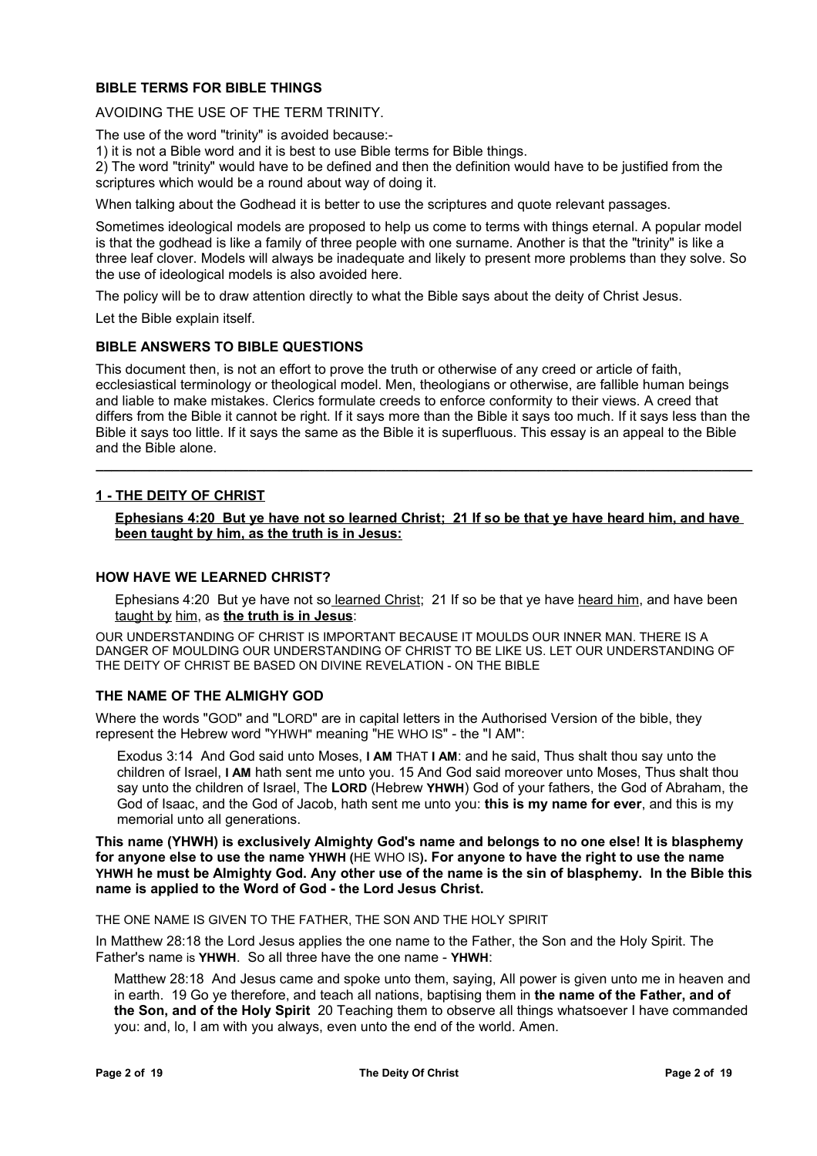# **BIBLE TERMS FOR BIBLE THINGS**

AVOIDING THE USE OF THE TERM TRINITY.

The use of the word "trinity" is avoided because:-

1) it is not a Bible word and it is best to use Bible terms for Bible things.

2) The word "trinity" would have to be defined and then the definition would have to be justified from the scriptures which would be a round about way of doing it.

When talking about the Godhead it is better to use the scriptures and quote relevant passages.

Sometimes ideological models are proposed to help us come to terms with things eternal. A popular model is that the godhead is like a family of three people with one surname. Another is that the "trinity" is like a three leaf clover. Models will always be inadequate and likely to present more problems than they solve. So the use of ideological models is also avoided here.

The policy will be to draw attention directly to what the Bible says about the deity of Christ Jesus.

Let the Bible explain itself.

# **BIBLE ANSWERS TO BIBLE QUESTIONS**

This document then, is not an effort to prove the truth or otherwise of any creed or article of faith, ecclesiastical terminology or theological model. Men, theologians or otherwise, are fallible human beings and liable to make mistakes. Clerics formulate creeds to enforce conformity to their views. A creed that differs from the Bible it cannot be right. If it says more than the Bible it says too much. If it says less than the Bible it says too little. If it says the same as the Bible it is superfluous. This essay is an appeal to the Bible and the Bible alone.

**\_\_\_\_\_\_\_\_\_\_\_\_\_\_\_\_\_\_\_\_\_\_\_\_\_\_\_\_\_\_\_\_\_\_\_\_\_\_\_\_\_\_\_\_\_\_\_\_\_\_\_\_\_\_\_\_\_\_\_\_\_\_\_\_\_\_\_\_\_\_\_\_\_\_\_\_\_\_\_\_\_\_\_\_\_\_**

# **1 - THE DEITY OF CHRIST**

**Ephesians 4:20 But ye have not so learned Christ; 21 If so be that ye have heard him, and have** been taught by him, as the truth is in Jesus:

## **HOW HAVE WE LEARNED CHRIST?**

Ephesians 4:20 But ye have not so learned Christ; 21 If so be that ye have heard him, and have been taught by him, as **the truth is in Jesus**:

OUR UNDERSTANDING OF CHRIST IS IMPORTANT BECAUSE IT MOULDS OUR INNER MAN. THERE IS A DANGER OF MOULDING OUR UNDERSTANDING OF CHRIST TO BE LIKE US. LET OUR UNDERSTANDING OF THE DEITY OF CHRIST BE BASED ON DIVINE REVELATION - ON THE BIBLE

# **THE NAME OF THE ALMIGHY GOD**

Where the words "GOD" and "LORD" are in capital letters in the Authorised Version of the bible, they represent the Hebrew word "YHWH" meaning "HE WHO IS" - the "I AM":

Exodus 3:14 And God said unto Moses, **I AM** THAT **I AM**: and he said, Thus shalt thou say unto the children of Israel, **I AM** hath sent me unto you. 15 And God said moreover unto Moses, Thus shalt thou say unto the children of Israel, The **LORD** (Hebrew **YHWH**) God of your fathers, the God of Abraham, the God of Isaac, and the God of Jacob, hath sent me unto you: **this is my name for ever**, and this is my memorial unto all generations.

**This name (YHWH) is exclusively Almighty God's name and belongs to no one else! It is blasphemy for anyone else to use the name YHWH (**HE WHO IS**). For anyone to have the right to use the name YHWH he must be Almighty God. Any other use of the name is the sin of blasphemy. In the Bible this name is applied to the Word of God - the Lord Jesus Christ.**

THE ONE NAME IS GIVEN TO THE FATHER, THE SON AND THE HOLY SPIRIT

In Matthew 28:18 the Lord Jesus applies the one name to the Father, the Son and the Holy Spirit. The Father's name is **YHWH**. So all three have the one name - **YHWH**:

Matthew 28:18 And Jesus came and spoke unto them, saying, All power is given unto me in heaven and in earth. 19 Go ye therefore, and teach all nations, baptising them in **the name of the Father, and of the Son, and of the Holy Spirit** 20 Teaching them to observe all things whatsoever I have commanded you: and, lo, I am with you always, even unto the end of the world. Amen.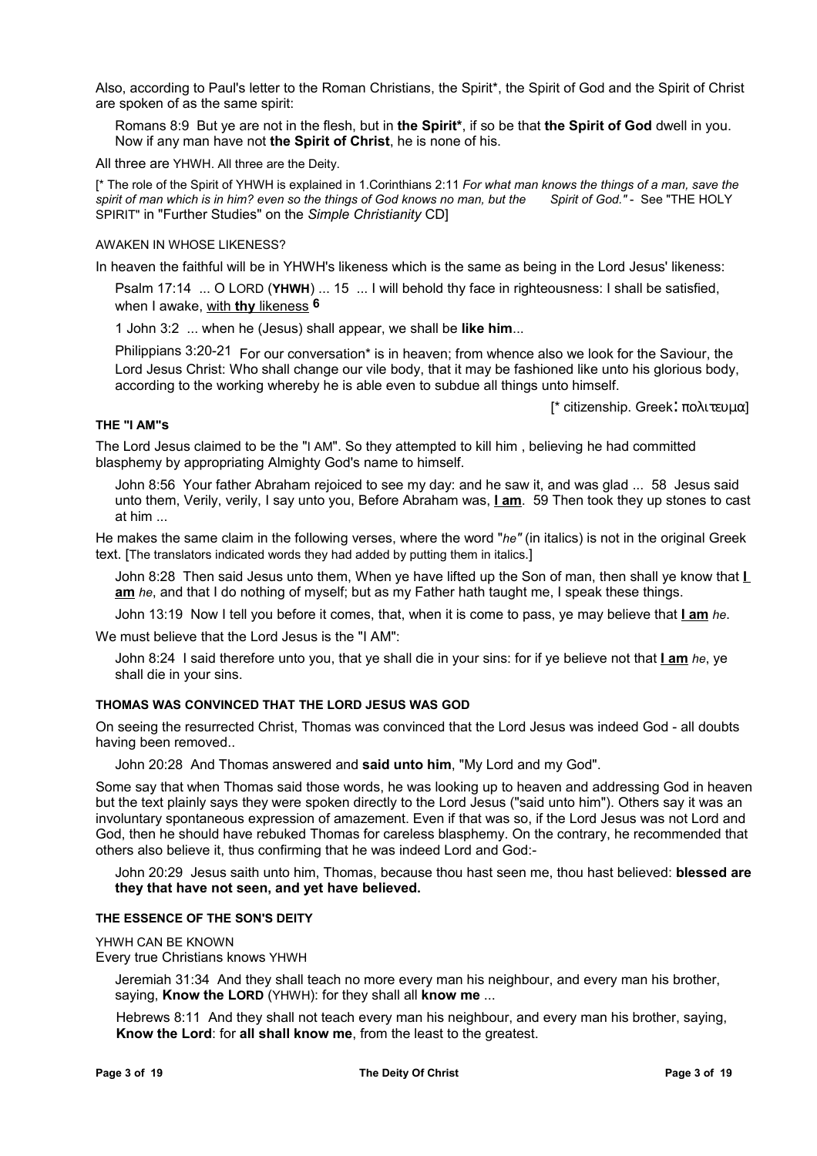Also, according to Paul's letter to the Roman Christians, the Spirit\*, the Spirit of God and the Spirit of Christ are spoken of as the same spirit:

Romans 8:9 But ye are not in the flesh, but in **the Spirit\***, if so be that **the Spirit of God** dwell in you. Now if any man have not **the Spirit of Christ**, he is none of his.

All three are YHWH. All three are the Deity.

[\* The role of the Spirit of YHWH is explained in 1.Corinthians 2:11 *For what man knows the things of a man, save the spirit of man which is in him? even so the things of God knows no man, but the* SPIRIT" in "Further Studies" on the *Simple Christianity* CD]

## AWAKEN IN WHOSE LIKENESS?

In heaven the faithful will be in YHWH's likeness which is the same as being in the Lord Jesus' likeness:

Psalm 17:14 ... O LORD (**YHWH**) ... 15 ... I will behold thy face in righteousness: I shall be satisfied, when I awake, with **thy** likeness **6**

1 John 3:2 ... when he (Jesus) shall appear, we shall be **like him**...

Philippians 3:20-21 For our conversation\* is in heaven; from whence also we look for the Saviour, the Lord Jesus Christ: Who shall change our vile body, that it may be fashioned like unto his glorious body, according to the working whereby he is able even to subdue all things unto himself.

[\* citizenship. Greek: πολιτευμα]

### **THE "I AM"s**

The Lord Jesus claimed to be the "I AM". So they attempted to kill him , believing he had committed blasphemy by appropriating Almighty God's name to himself.

John 8:56 Your father Abraham rejoiced to see my day: and he saw it, and was glad ... 58 Jesus said unto them, Verily, verily, I say unto you, Before Abraham was, **I am**. 59 Then took they up stones to cast at him ...

He makes the same claim in the following verses, where the word "*he"* (in italics) is not in the original Greek text. [The translators indicated words they had added by putting them in italics.]

John 8:28 Then said Jesus unto them, When ye have lifted up the Son of man, then shall ye know that **I am** *he*, and that I do nothing of myself; but as my Father hath taught me, I speak these things.

John 13:19 Now I tell you before it comes, that, when it is come to pass, ye may believe that **I am** *he*.

We must believe that the Lord Jesus is the "I AM":

John 8:24 I said therefore unto you, that ye shall die in your sins: for if ye believe not that **I am** *he*, ye shall die in your sins.

# **THOMAS WAS CONVINCED THAT THE LORD JESUS WAS GOD**

On seeing the resurrected Christ, Thomas was convinced that the Lord Jesus was indeed God - all doubts having been removed..

John 20:28 And Thomas answered and **said unto him**, "My Lord and my God".

Some say that when Thomas said those words, he was looking up to heaven and addressing God in heaven but the text plainly says they were spoken directly to the Lord Jesus ("said unto him"). Others say it was an involuntary spontaneous expression of amazement. Even if that was so, if the Lord Jesus was not Lord and God, then he should have rebuked Thomas for careless blasphemy. On the contrary, he recommended that others also believe it, thus confirming that he was indeed Lord and God:-

John 20:29 Jesus saith unto him, Thomas, because thou hast seen me, thou hast believed: **blessed are they that have not seen, and yet have believed.**

### **THE ESSENCE OF THE SON'S DEITY**

YHWH CAN BE KNOWN

Every true Christians knows YHWH

Jeremiah 31:34 And they shall teach no more every man his neighbour, and every man his brother, saying, **Know the LORD** (YHWH): for they shall all **know me** ...

Hebrews 8:11 And they shall not teach every man his neighbour, and every man his brother, saying, **Know the Lord**: for **all shall know me**, from the least to the greatest.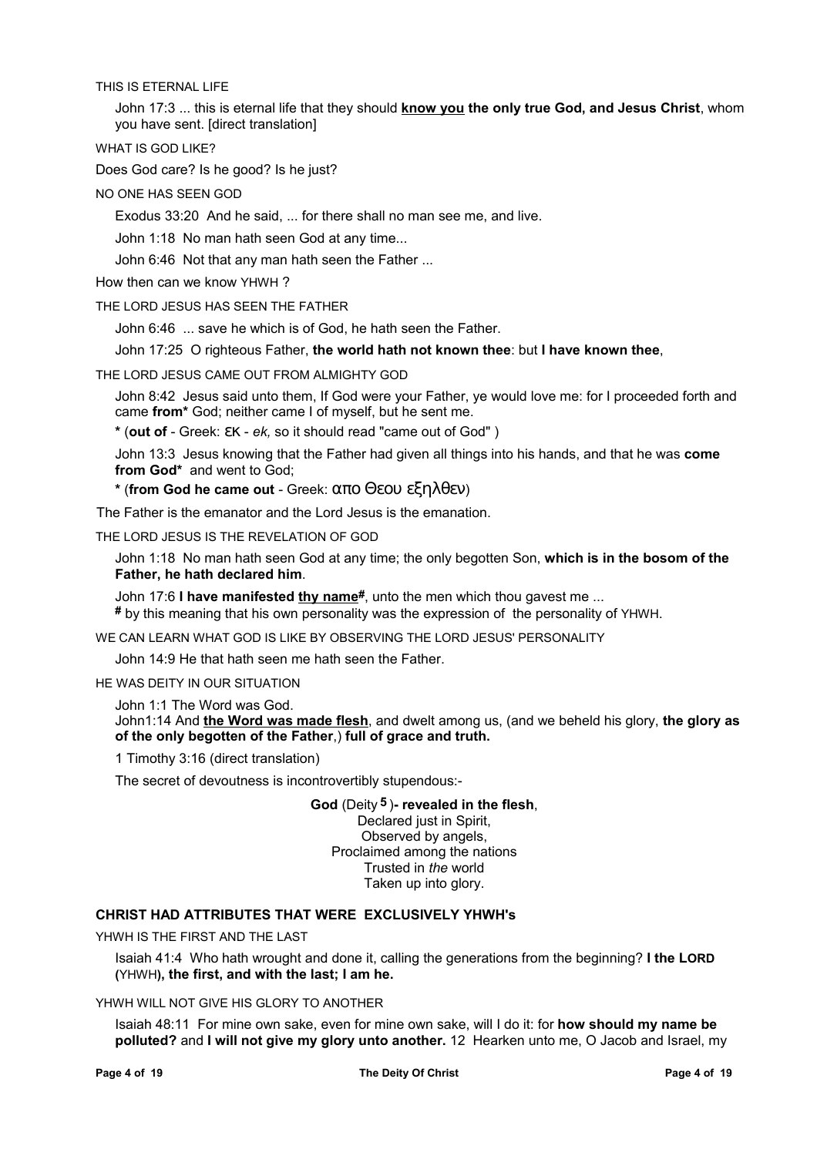THIS IS ETERNAL LIFE

John 17:3 ... this is eternal life that they should **know you the only true God, and Jesus Christ**, whom you have sent. [direct translation]

WHAT IS GOD LIKE?

Does God care? Is he good? Is he just?

NO ONE HAS SEEN GOD

Exodus 33:20 And he said, ... for there shall no man see me, and live.

John 1:18 No man hath seen God at any time...

John 6:46 Not that any man hath seen the Father ...

How then can we know YHWH ?

THE LORD JESUS HAS SEEN THE FATHER

John 6:46 ... save he which is of God, he hath seen the Father.

John 17:25 O righteous Father, **the world hath not known thee**: but **I have known thee**,

THE LORD JESUS CAME OUT FROM ALMIGHTY GOD

John 8:42 Jesus said unto them, If God were your Father, ye would love me: for I proceeded forth and came **from\*** God; neither came I of myself, but he sent me.

**\*** (**out of** - Greek: εκ - *ek,* so it should read "came out of God" )

John 13:3 Jesus knowing that the Father had given all things into his hands, and that he was **come from God\*** and went to God;

**\*** (**from God he came out** - Greek: απο Θεου εξηλθεν)

The Father is the emanator and the Lord Jesus is the emanation.

THE LORD JESUS IS THE REVELATION OF GOD

John 1:18 No man hath seen God at any time; the only begotten Son, **which is in the bosom of the Father, he hath declared him**.

John 17:6 I have manifested thy name<sup>#</sup>, unto the men which thou gavest me ... **#** by this meaning that his own personality was the expression of the personality of YHWH.

WE CAN LEARN WHAT GOD IS LIKE BY OBSERVING THE LORD JESUS' PERSONALITY

John 14:9 He that hath seen me hath seen the Father.

HE WAS DEITY IN OUR SITUATION

John 1:1 The Word was God.

John1:14 And **the Word was made flesh**, and dwelt among us, (and we beheld his glory, **the glory as of the only begotten of the Father**,) **full of grace and truth.**

1 Timothy 3:16 (direct translation)

The secret of devoutness is incontrovertibly stupendous:-

**God** (Deity **5** )**- revealed in the flesh**, Declared just in Spirit. Observed by angels, Proclaimed among the nations Trusted in *the* world Taken up into glory.

# **CHRIST HAD ATTRIBUTES THAT WERE EXCLUSIVELY YHWH's**

YHWH IS THE FIRST AND THE LAST

Isaiah 41:4 Who hath wrought and done it, calling the generations from the beginning? **I the LORD (**YHWH**), the first, and with the last; I am he.**

YHWH WILL NOT GIVE HIS GLORY TO ANOTHER

Isaiah 48:11 For mine own sake, even for mine own sake, will I do it: for **how should my name be polluted?** and **I will not give my glory unto another.** 12 Hearken unto me, O Jacob and Israel, my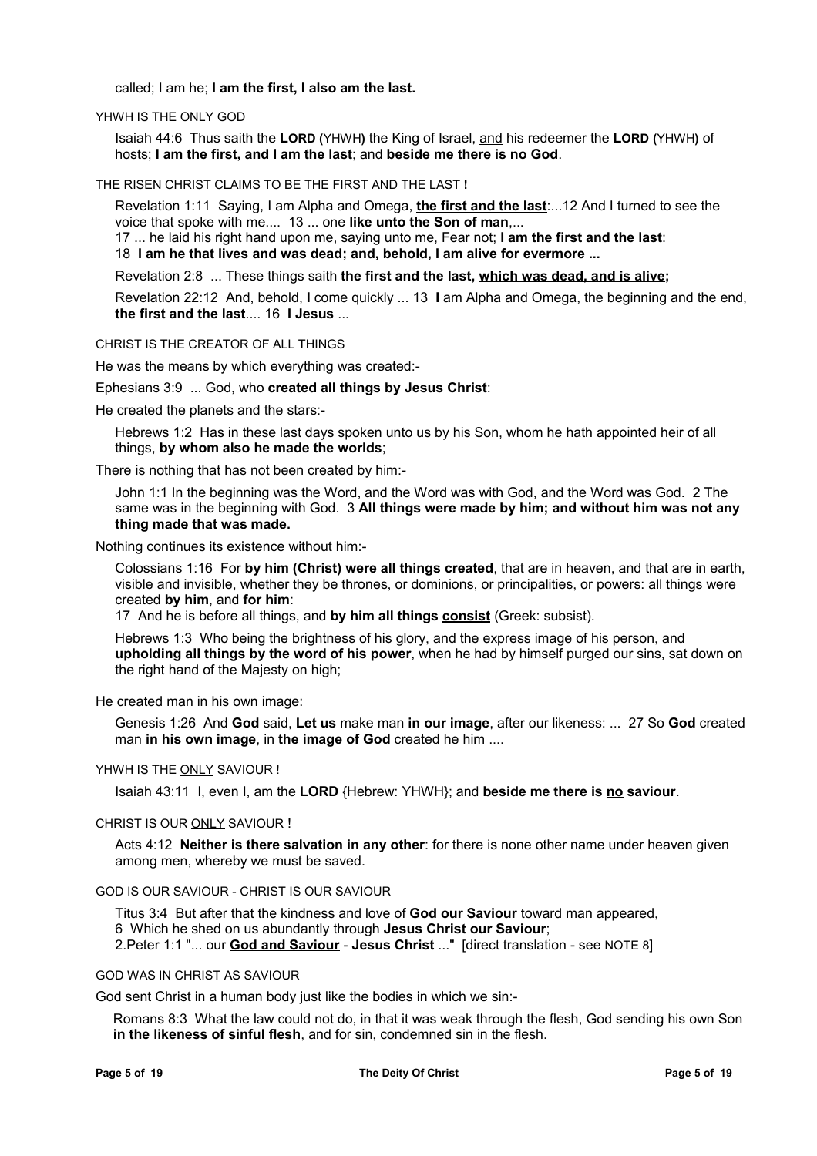called; I am he; **I am the first, I also am the last.**

YHWH IS THE ONLY GOD

Isaiah 44:6Thus saith the **LORD (**YHWH**)** the King of Israel, and his redeemer the **LORD (**YHWH**)** of hosts; **I am the first, and I am the last**; and **beside me there is no God**.

THE RISEN CHRIST CLAIMS TO BE THE FIRST AND THE LAST **!**

Revelation 1:11 Saying, I am Alpha and Omega, **the first and the last**:...12 And I turned to see the voice that spoke with me.... 13 ... one **like unto the Son of man**,...

17 ... he laid his right hand upon me, saying unto me, Fear not; **I am the first and the last**:

18 **I am he that lives and was dead; and, behold, I am alive for evermore ...**

Revelation 2:8 ... These things saith **the first and the last, which was dead, and is alive;**

Revelation 22:12 And, behold, **I** come quickly ... 13 **I** am Alpha and Omega, the beginning and the end, **the first and the last**.... 16 **I Jesus** ...

CHRIST IS THE CREATOR OF ALL THINGS

He was the means by which everything was created:-

Ephesians 3:9 ... God, who **created all things by Jesus Christ**:

He created the planets and the stars:-

Hebrews 1:2 Has in these last days spoken unto us by his Son, whom he hath appointed heir of all things, **by whom also he made the worlds**;

There is nothing that has not been created by him:-

John 1:1 In the beginning was the Word, and the Word was with God, and the Word was God. 2 The same was in the beginning with God. 3 **All things were made by him; and without him was not any thing made that was made.**

Nothing continues its existence without him:-

Colossians 1:16 For **by him (Christ) were all things created**, that are in heaven, and that are in earth, visible and invisible, whether they be thrones, or dominions, or principalities, or powers: all things were created **by him**, and **for him**:

17 And he is before all things, and **by him all things consist** (Greek: subsist).

Hebrews 1:3 Who being the brightness of his glory, and the express image of his person, and **upholding all things by the word of his power**, when he had by himself purged our sins, sat down on the right hand of the Majesty on high;

He created man in his own image:

Genesis 1:26 And **God** said, **Let us** make man **in our image**, after our likeness: ... 27 So **God** created man **in his own image**, in **the image of God** created he him ....

#### YHWH IS THE ONLY SAVIOUR !

Isaiah 43:11 I, even I, am the **LORD** {Hebrew: YHWH}; and **beside me there is no saviour**.

#### CHRIST IS OUR ONLY SAVIOUR !

Acts 4:12 **Neither is there salvation in any other**: for there is none other name under heaven given among men, whereby we must be saved.

GOD IS OUR SAVIOUR - CHRIST IS OUR SAVIOUR

Titus 3:4 But after that the kindness and love of **God our Saviour** toward man appeared,

6 Which he shed on us abundantly through **Jesus Christ our Saviour**;

2.Peter 1:1 "... our **God and Saviour** - **Jesus Christ** ..." [direct translation - see NOTE 8]

## GOD WAS IN CHRIST AS SAVIOUR

God sent Christ in a human body just like the bodies in which we sin:-

Romans 8:3 What the law could not do, in that it was weak through the flesh, God sending his own Son **in the likeness of sinful flesh**, and for sin, condemned sin in the flesh.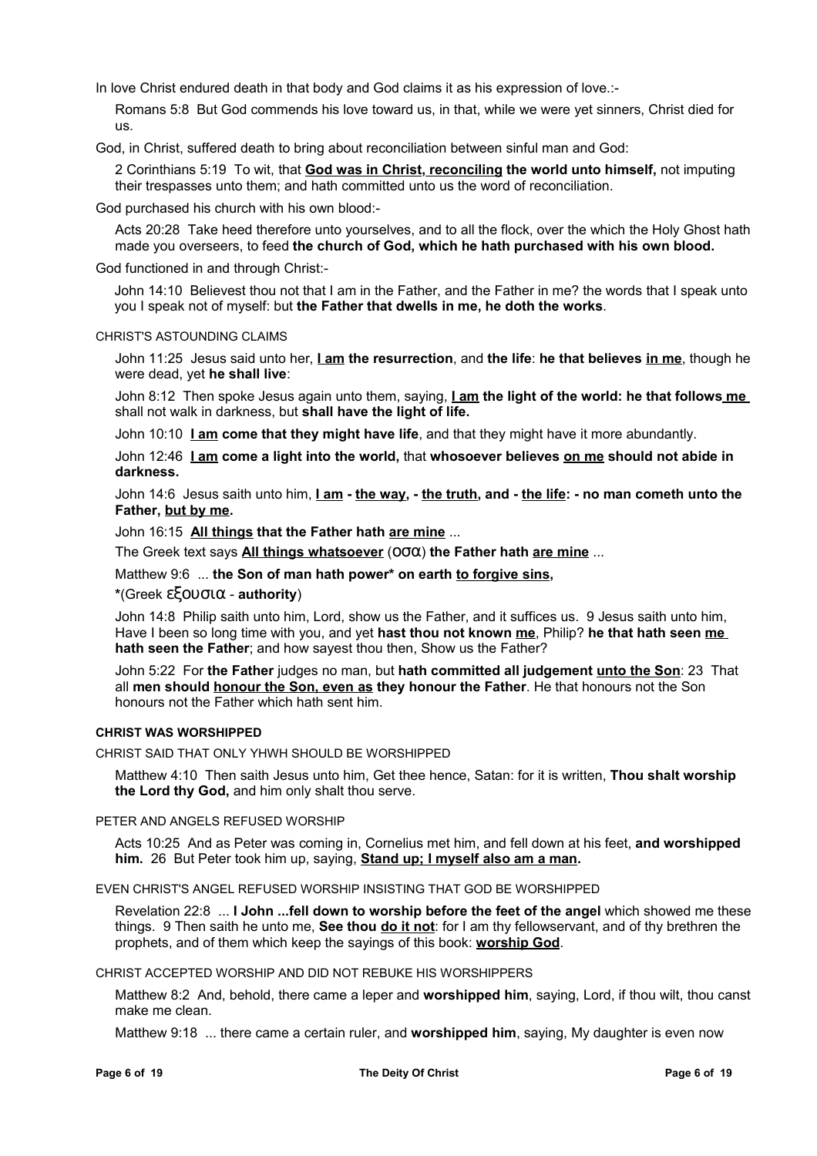In love Christ endured death in that body and God claims it as his expression of love.:-

Romans 5:8 But God commends his love toward us, in that, while we were yet sinners, Christ died for us.

God, in Christ, suffered death to bring about reconciliation between sinful man and God:

2 Corinthians 5:19 To wit, that **God was in Christ, reconciling the world unto himself,** not imputing their trespasses unto them; and hath committed unto us the word of reconciliation.

God purchased his church with his own blood:-

Acts 20:28 Take heed therefore unto yourselves, and to all the flock, over the which the Holy Ghost hath made you overseers, to feed **the church of God, which he hath purchased with his own blood.**

God functioned in and through Christ:-

John 14:10 Believest thou not that I am in the Father, and the Father in me? the words that I speak unto you I speak not of myself: but **the Father that dwells in me, he doth the works**.

#### CHRIST'S ASTOUNDING CLAIMS

John 11:25 Jesus said unto her, **I am the resurrection**, and **the life**: **he that believes in me**, though he were dead, yet **he shall live**:

John 8:12 Then spoke Jesus again unto them, saying, **I am the light of the world: he that follows me** shall not walk in darkness, but **shall have the light of life.**

John 10:10 **I am come that they might have life**, and that they might have it more abundantly.

John 12:46 **I am come a light into the world,** that **whosoever believes on me should not abide in darkness.**

John 14:6 Jesus saith unto him, **I am - the way, - the truth, and - the life: - no man cometh unto the Father, but by me.**

John 16:15 **All things that the Father hath are mine** ...

The Greek text says **All things whatsoever** (οσα) **the Father hath are mine** ...

Matthew 9:6 ... **the Son of man hath power\* on earth to forgive sins,**

**\***(Greek εξουσια - **authority**)

John 14:8 Philip saith unto him, Lord, show us the Father, and it suffices us. 9 Jesus saith unto him, Have I been so long time with you, and yet **hast thou not known me**, Philip? **he that hath seen me hath seen the Father**; and how sayest thou then, Show us the Father?

John 5:22 For **the Father** judges no man, but **hath committed all judgement unto the Son**: 23 That all **men should honour the Son, even as they honour the Father**. He that honours not the Son honours not the Father which hath sent him.

# **CHRIST WAS WORSHIPPED**

CHRIST SAID THAT ONLY YHWH SHOULD BE WORSHIPPED

Matthew 4:10 Then saith Jesus unto him, Get thee hence, Satan: for it is written, **Thou shalt worship the Lord thy God,** and him only shalt thou serve.

PETER AND ANGELS REFUSED WORSHIP

Acts 10:25 And as Peter was coming in, Cornelius met him, and fell down at his feet, **and worshipped him.** 26 But Peter took him up, saying, **Stand up; I myself also am a man.**

EVEN CHRIST'S ANGEL REFUSED WORSHIP INSISTING THAT GOD BE WORSHIPPED

Revelation 22:8 ... **I John ...fell down to worship before the feet of the angel** which showed me these things. 9 Then saith he unto me, **See thou do it not**: for I am thy fellowservant, and of thy brethren the prophets, and of them which keep the sayings of this book: **worship God**.

CHRIST ACCEPTED WORSHIP AND DID NOT REBUKE HIS WORSHIPPERS

Matthew 8:2 And, behold, there came a leper and **worshipped him**, saying, Lord, if thou wilt, thou canst make me clean.

Matthew 9:18 ... there came a certain ruler, and **worshipped him**, saying, My daughter is even now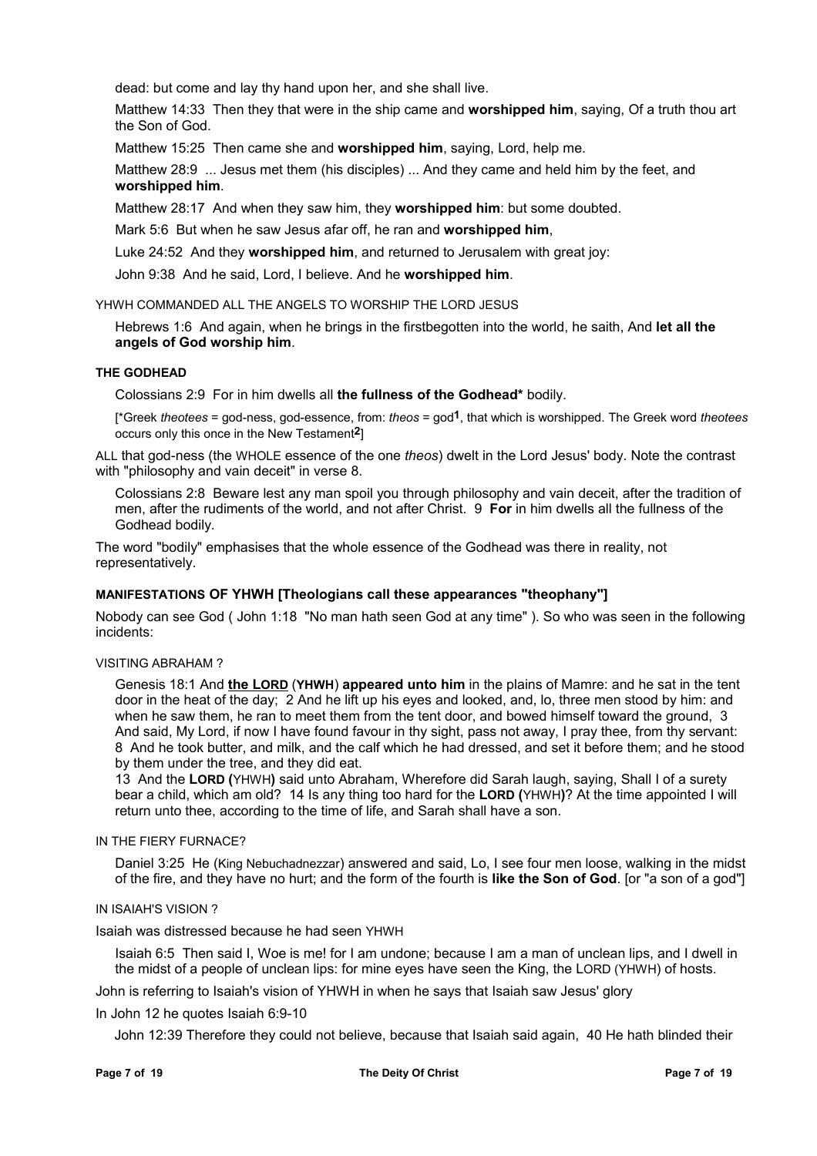dead: but come and lay thy hand upon her, and she shall live.

Matthew 14:33 Then they that were in the ship came and **worshipped him**, saying, Of a truth thou art the Son of God.

Matthew 15:25 Then came she and **worshipped him**, saying, Lord, help me.

Matthew 28:9 ... Jesus met them (his disciples) ... And they came and held him by the feet, and **worshipped him**.

Matthew 28:17 And when they saw him, they **worshipped him**: but some doubted.

Mark 5:6 But when he saw Jesus afar off, he ran and **worshipped him**,

Luke 24:52 And they **worshipped him**, and returned to Jerusalem with great joy:

John 9:38 And he said, Lord, I believe. And he **worshipped him**.

YHWH COMMANDED ALL THE ANGELS TO WORSHIP THE LORD JESUS

Hebrews 1:6 And again, when he brings in the firstbegotten into the world, he saith, And **let all the angels of God worship him**.

### **THE GODHEAD**

Colossians 2:9 For in him dwells all **the fullness of the Godhead\*** bodily.

[\*Greek *theotees* = god-ness, god-essence, from: *theos* = god**1**, that which is worshipped. The Greek word *theotees* occurs only this once in the New Testament**2**]

ALL that god-ness (the WHOLE essence of the one *theos*) dwelt in the Lord Jesus' body. Note the contrast with "philosophy and vain deceit" in verse 8.

Colossians 2:8 Beware lest any man spoil you through philosophy and vain deceit, after the tradition of men, after the rudiments of the world, and not after Christ. 9 **For** in him dwells all the fullness of the Godhead bodily.

The word "bodily" emphasises that the whole essence of the Godhead was there in reality, not representatively.

# **MANIFESTATIONS OF YHWH [Theologians call these appearances "theophany"]**

Nobody can see God ( John 1:18 "No man hath seen God at any time" ). So who was seen in the following incidents:

### VISITING ABRAHAM ?

Genesis 18:1 And the LORD (YHWH) appeared unto him in the plains of Mamre: and he sat in the tent door in the heat of the day; 2 And he lift up his eyes and looked, and, lo, three men stood by him: and when he saw them, he ran to meet them from the tent door, and bowed himself toward the ground, 3 And said, My Lord, if now I have found favour in thy sight, pass not away, I pray thee, from thy servant: 8 And he took butter, and milk, and the calf which he had dressed, and set it before them; and he stood by them under the tree, and they did eat.

13 And the **LORD (**YHWH**)** said unto Abraham, Wherefore did Sarah laugh, saying, Shall I of a surety bear a child, which am old? 14 Is any thing too hard for the **LORD (**YHWH**)**? At the time appointed I will return unto thee, according to the time of life, and Sarah shall have a son.

#### IN THE FIERY FURNACE?

Daniel 3:25 He (King Nebuchadnezzar) answered and said, Lo, I see four men loose, walking in the midst of the fire, and they have no hurt; and the form of the fourth is **like the Son of God**. [or "a son of a god"]

## IN ISAIAH'S VISION ?

Isaiah was distressed because he had seen YHWH

Isaiah 6:5 Then said I, Woe is me! for I am undone; because I am a man of unclean lips, and I dwell in the midst of a people of unclean lips: for mine eyes have seen the King, the LORD (YHWH) of hosts.

John is referring to Isaiah's vision of YHWH in when he says that Isaiah saw Jesus' glory

In John 12 he quotes Isaiah 6:9-10

John 12:39 Therefore they could not believe, because that Isaiah said again, 40 He hath blinded their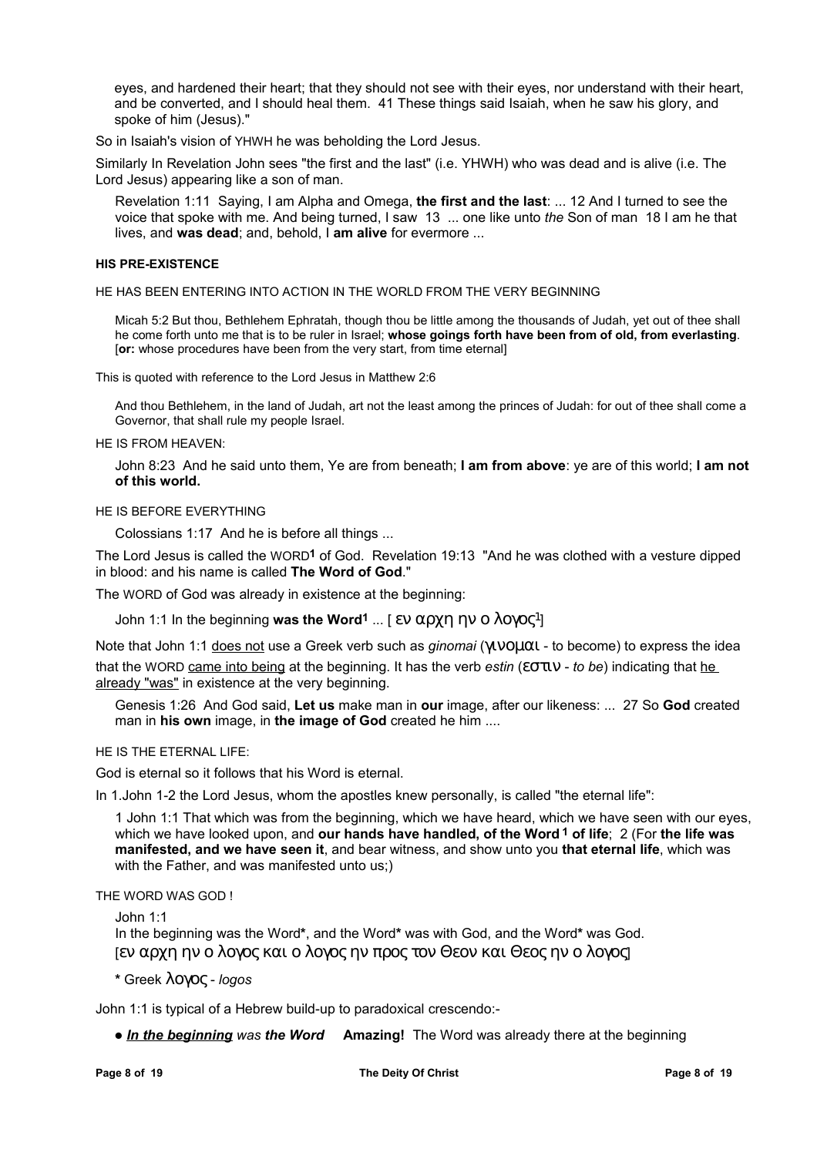eyes, and hardened their heart; that they should not see with their eyes, nor understand with their heart, and be converted, and I should heal them. 41 These things said Isaiah, when he saw his glory, and spoke of him (Jesus)."

So in Isaiah's vision of YHWH he was beholding the Lord Jesus.

Similarly In Revelation John sees "the first and the last" (i.e. YHWH) who was dead and is alive (i.e. The Lord Jesus) appearing like a son of man.

Revelation 1:11 Saying, I am Alpha and Omega, **the first and the last**: ... 12 And I turned to see the voice that spoke with me. And being turned, I saw 13 ... one like unto *the* Son of man 18 I am he that lives, and **was dead**; and, behold, I **am alive** for evermore ...

# **HIS PRE-EXISTENCE**

HE HAS BEEN ENTERING INTO ACTION IN THE WORLD FROM THE VERY BEGINNING

Micah 5:2 But thou, Bethlehem Ephratah, though thou be little among the thousands of Judah, yet out of thee shall he come forth unto me that is to be ruler in Israel; **whose goings forth have been from of old, from everlasting**. [**or:** whose procedures have been from the very start, from time eternal]

This is quoted with reference to the Lord Jesus in Matthew 2:6

And thou Bethlehem, in the land of Judah, art not the least among the princes of Judah: for out of thee shall come a Governor, that shall rule my people Israel.

HE IS FROM HEAVEN:

John 8:23 And he said unto them, Ye are from beneath; **I am from above**: ye are of this world; **I am not of this world.**

# HE IS BEFORE EVERYTHING

Colossians 1:17 And he is before all things ...

The Lord Jesus is called the WORD**1** of God. Revelation 19:13 "And he was clothed with a vesture dipped in blood: and his name is called **The Word of God**."

The WORD of God was already in existence at the beginning:

John 1:1 In the beginning **was the Word1** ... [ εν αρχη ην ο λογος<sup>1</sup>]

Note that John 1:1 does not use a Greek verb such as *ginomai* (γινοµαι - to become) to express the idea that the WORD came into being at the beginning. It has the verb *estin* (εστιν - *to be*) indicating that he already "was" in existence at the very beginning.

Genesis 1:26 And God said, **Let us** make man in **our** image, after our likeness: ... 27 So **God** created man in **his own** image, in **the image of God** created he him ....

HE IS THE ETERNAL LIFE:

God is eternal so it follows that his Word is eternal.

In 1.John 1-2 the Lord Jesus, whom the apostles knew personally, is called "the eternal life":

1 John 1:1 That which was from the beginning, which we have heard, which we have seen with our eyes, which we have looked upon, and **our hands have handled, of the Word 1 of life**; 2 (For **the life was manifested, and we have seen it**, and bear witness, and show unto you **that eternal life**, which was with the Father, and was manifested unto us:)

THE WORD WAS GOD !

John 1:1

In the beginning was the Word**\***, and the Word**\*** was with God, and the Word**\*** was God. [εν αρχη ην ο λογος και ο λογος ην προς τον Θεον και Θεος ην ο λογος]

**\*** Greek λογος - *logos* 

John 1:1 is typical of a Hebrew build-up to paradoxical crescendo:-

• In the beginning was the Word Amazing! The Word was already there at the beginning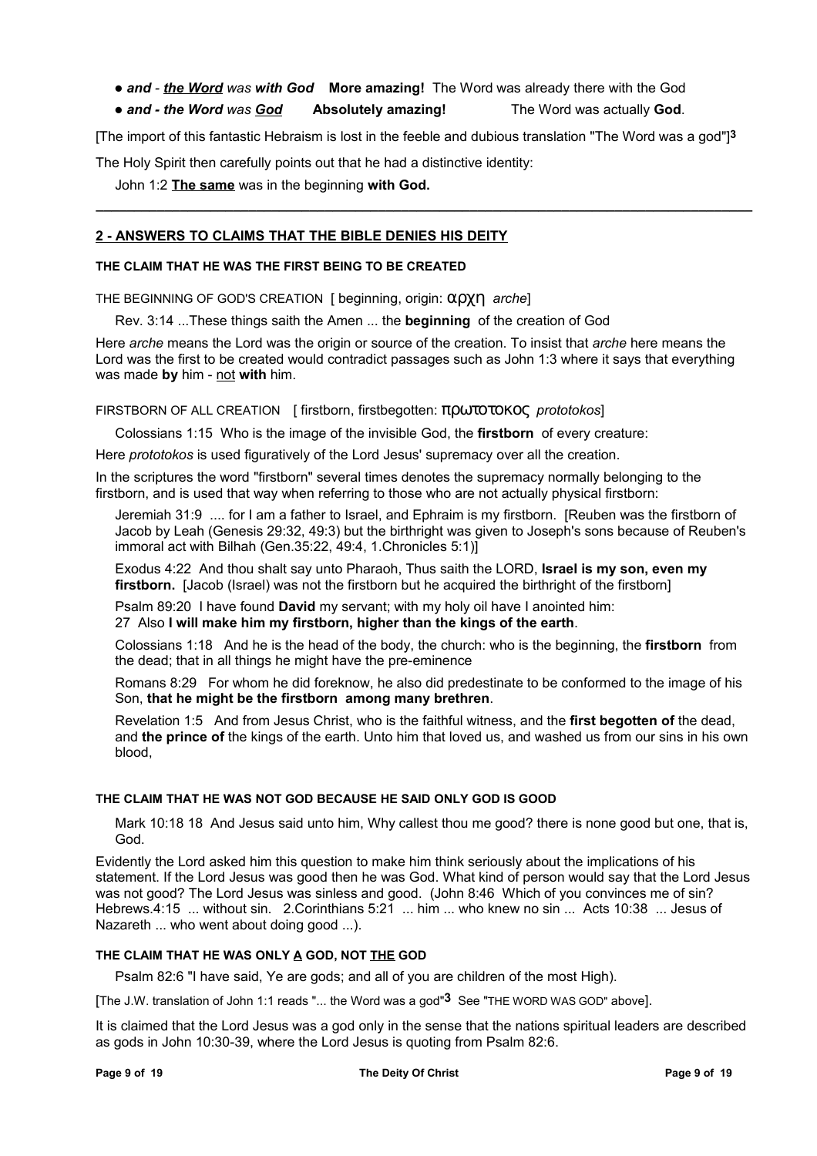l *and - the Word was with God* **More amazing!** The Word was already there with the God

l *and - the Word was God* **Absolutely amazing!** The Word was actually **God**.

[The import of this fantastic Hebraism is lost in the feeble and dubious translation "The Word was a god"]**3**

**\_\_\_\_\_\_\_\_\_\_\_\_\_\_\_\_\_\_\_\_\_\_\_\_\_\_\_\_\_\_\_\_\_\_\_\_\_\_\_\_\_\_\_\_\_\_\_\_\_\_\_\_\_\_\_\_\_\_\_\_\_\_\_\_\_\_\_\_\_\_\_\_\_\_\_\_\_\_\_\_\_\_\_\_\_\_**

The Holy Spirit then carefully points out that he had a distinctive identity:

John 1:2 **The same** was in the beginning **with God.**

# **2 - ANSWERS TO CLAIMS THAT THE BIBLE DENIES HIS DEITY**

## **THE CLAIM THAT HE WAS THE FIRST BEING TO BE CREATED**

THE BEGINNING OF GOD'S CREATION [ beginning, origin: αρχη *arche*]

Rev. 3:14 ...These things saith the Amen ... the **beginning** of the creation of God

Here *arche* means the Lord was the origin or source of the creation. To insist that *arche* here means the Lord was the first to be created would contradict passages such as John 1:3 where it says that everything was made **by** him - not **with** him.

FIRSTBORN OF ALL CREATION [ firstborn, firstbegotten: πρωτοτοκος *prototokos*]

Colossians 1:15 Who is the image of the invisible God, the **firstborn** of every creature:

Here *prototokos* is used figuratively of the Lord Jesus' supremacy over all the creation.

In the scriptures the word "firstborn" several times denotes the supremacy normally belonging to the firstborn, and is used that way when referring to those who are not actually physical firstborn:

Jeremiah 31:9 .... for I am a father to Israel, and Ephraim is my firstborn. [Reuben was the firstborn of Jacob by Leah (Genesis 29:32, 49:3) but the birthright was given to Joseph's sons because of Reuben's immoral act with Bilhah (Gen.35:22, 49:4, 1.Chronicles 5:1)]

Exodus 4:22 And thou shalt say unto Pharaoh, Thus saith the LORD, **Israel is my son, even my firstborn.** [Jacob (Israel) was not the firstborn but he acquired the birthright of the firstborn]

Psalm 89:20 I have found **David** my servant; with my holy oil have I anointed him: 27 Also **I will make him my firstborn, higher than the kings of the earth**.

Colossians 1:18 And he is the head of the body, the church: who is the beginning, the **firstborn** from the dead; that in all things he might have the pre-eminence

Romans 8:29 For whom he did foreknow, he also did predestinate to be conformed to the image of his Son, **that he might be the firstborn among many brethren**.

Revelation 1:5 And from Jesus Christ, who is the faithful witness, and the **first begotten of** the dead, and **the prince of** the kings of the earth. Unto him that loved us, and washed us from our sins in his own blood,

# **THE CLAIM THAT HE WAS NOT GOD BECAUSE HE SAID ONLY GOD IS GOOD**

Mark 10:18 18 And Jesus said unto him, Why callest thou me good? there is none good but one, that is, God.

Evidently the Lord asked him this question to make him think seriously about the implications of his statement. If the Lord Jesus was good then he was God. What kind of person would say that the Lord Jesus was not good? The Lord Jesus was sinless and good. (John 8:46 Which of you convinces me of sin? Hebrews.4:15 ... without sin. 2.Corinthians 5:21 ... him ... who knew no sin ... Acts 10:38 ... Jesus of Nazareth ... who went about doing good ...).

# **THE CLAIM THAT HE WAS ONLY A GOD, NOT THE GOD**

Psalm 82:6 "I have said, Ye are gods; and all of you are children of the most High).

[The J.W. translation of John 1:1 reads "... the Word was a god"**3** See "THE WORD WAS GOD" above].

It is claimed that the Lord Jesus was a god only in the sense that the nations spiritual leaders are described as gods in John 10:30-39, where the Lord Jesus is quoting from Psalm 82:6.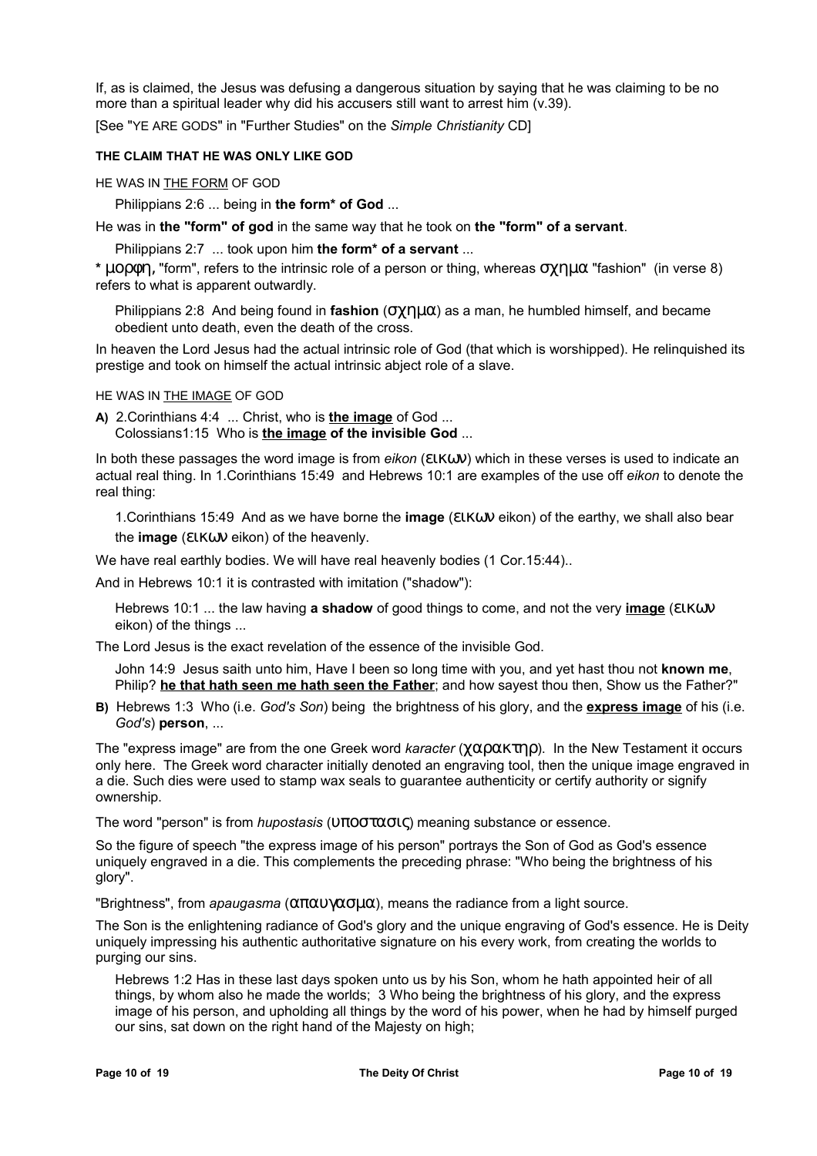If, as is claimed, the Jesus was defusing a dangerous situation by saying that he was claiming to be no more than a spiritual leader why did his accusers still want to arrest him (v.39).

[See "YE ARE GODS" in "Further Studies" on the *Simple Christianity* CD]

# **THE CLAIM THAT HE WAS ONLY LIKE GOD**

HE WAS IN THE FORM OF GOD

Philippians 2:6 ... being in **the form\* of God** ...

He was in **the "form" of god** in the same way that he took on **the "form" of a servant**.

Philippians 2:7 ... took upon him **the form\* of a servant** ...

**\*** µορφη, "form", refers to the intrinsic role of a person or thing, whereas σχηµα "fashion" (in verse 8) refers to what is apparent outwardly.

Philippians 2:8 And being found in **fashion** (σχηµα) as a man, he humbled himself, and became obedient unto death, even the death of the cross.

In heaven the Lord Jesus had the actual intrinsic role of God (that which is worshipped). He relinquished its prestige and took on himself the actual intrinsic abject role of a slave.

### HE WAS IN THE IMAGE OF GOD

**A)** 2.Corinthians 4:4 ... Christ, who is **the image** of God ... Colossians1:15 Who is **the image of the invisible God** ...

In both these passages the word image is from *eikon* (εικων) which in these verses is used to indicate an actual real thing. In 1.Corinthians 15:49 and Hebrews 10:1 are examples of the use off *eikon* to denote the real thing:

1.Corinthians 15:49 And as we have borne the **image** (εικων eikon) of the earthy, we shall also bear the **image** (εικων eikon) of the heavenly.

We have real earthly bodies. We will have real heavenly bodies (1 Cor.15:44)..

And in Hebrews 10:1 it is contrasted with imitation ("shadow"):

Hebrews 10:1 ... the law having **a shadow** of good things to come, and not the very **image** (εικων eikon) of the things ...

The Lord Jesus is the exact revelation of the essence of the invisible God.

John 14:9 Jesus saith unto him, Have I been so long time with you, and yet hast thou not **known me**, Philip? **he that hath seen me hath seen the Father**; and how sayest thou then, Show us the Father?"

**B)** Hebrews 1:3 Who (i.e. *God's Son*) being the brightness of his glory, and the **express image** of his (i.e. *God's*) **person**, ...

The "express image" are from the one Greek word *karacter* (χαρακτηρ). In the New Testament it occurs only here. The Greek word character initially denoted an engraving tool, then the unique image engraved in a die. Such dies were used to stamp wax seals to guarantee authenticity or certify authority or signify ownership.

The word "person" is from *hupostasis* (υποστασις) meaning substance or essence.

So the figure of speech "the express image of his person" portrays the Son of God as God's essence uniquely engraved in a die. This complements the preceding phrase: "Who being the brightness of his glory".

"Brightness", from *apaugasma* (απαυγασµα), means the radiance from a light source.

The Son is the enlightening radiance of God's glory and the unique engraving of God's essence. He is Deity uniquely impressing his authentic authoritative signature on his every work, from creating the worlds to purging our sins.

Hebrews 1:2 Has in these last days spoken unto us by his Son, whom he hath appointed heir of all things, by whom also he made the worlds; 3 Who being the brightness of his glory, and the express image of his person, and upholding all things by the word of his power, when he had by himself purged our sins, sat down on the right hand of the Majesty on high;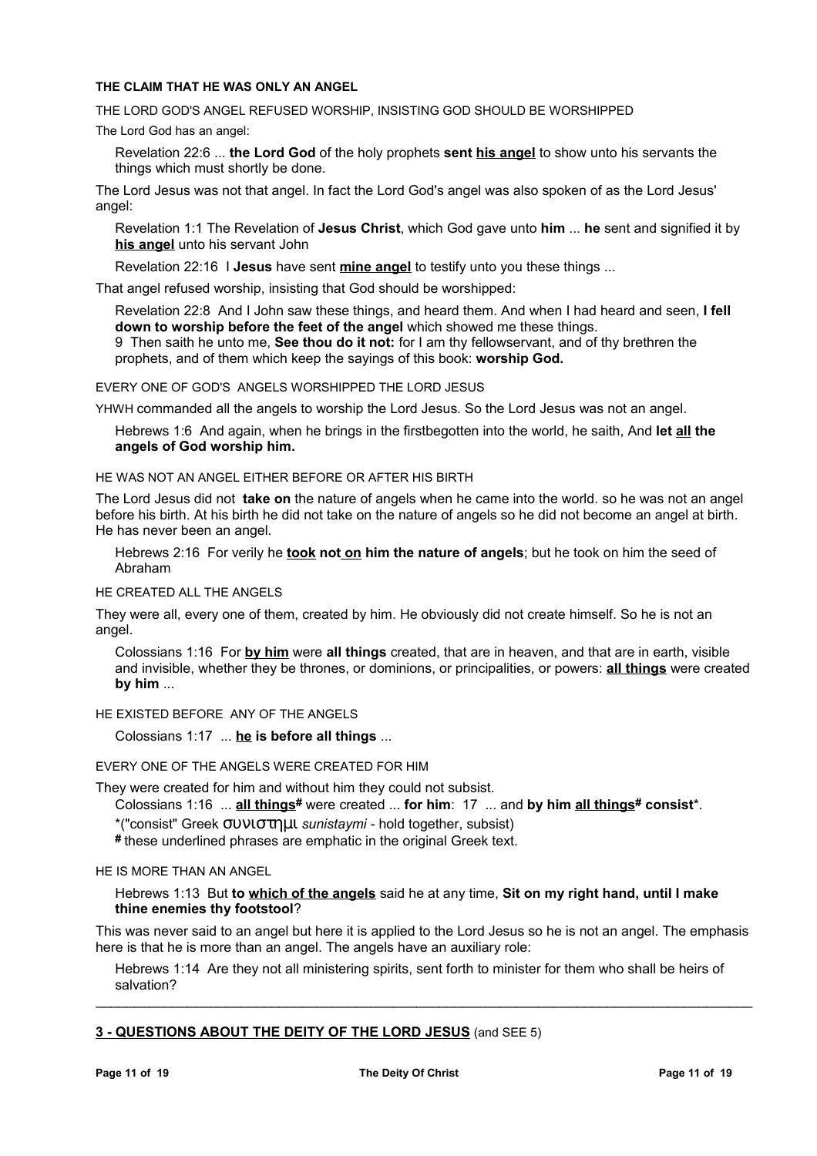# **THE CLAIM THAT HE WAS ONLY AN ANGEL**

THE LORD GOD'S ANGEL REFUSED WORSHIP, INSISTING GOD SHOULD BE WORSHIPPED

The Lord God has an angel:

Revelation 22:6 ... **the Lord God** of the holy prophets **sent his angel** to show unto his servants the things which must shortly be done.

The Lord Jesus was not that angel. In fact the Lord God's angel was also spoken of as the Lord Jesus' angel:

Revelation 1:1 The Revelation of **Jesus Christ**, which God gave unto **him** ... **he** sent and signified it by **his angel** unto his servant John

Revelation 22:16 I **Jesus** have sent **mine angel** to testify unto you these things ...

That angel refused worship, insisting that God should be worshipped:

Revelation 22:8 And I John saw these things, and heard them. And when I had heard and seen, **I fell down to worship before the feet of the angel** which showed me these things. 9 Then saith he unto me, **See thou do it not:** for I am thy fellowservant, and of thy brethren the prophets, and of them which keep the sayings of this book: **worship God.**

EVERY ONE OF GOD'S ANGELS WORSHIPPED THE LORD JESUS

YHWH commanded all the angels to worship the Lord Jesus. So the Lord Jesus was not an angel.

Hebrews 1:6 And again, when he brings in the firstbegotten into the world, he saith, And **let all the angels of God worship him.**

HE WAS NOT AN ANGEL EITHER BEFORE OR AFTER HIS BIRTH

The Lord Jesus did not **take on** the nature of angels when he came into the world. so he was not an angel before his birth. At his birth he did not take on the nature of angels so he did not become an angel at birth. He has never been an angel.

Hebrews 2:16 For verily he **took not on him the nature of angels**; but he took on him the seed of Abraham

HE CREATED ALL THE ANGELS

They were all, every one of them, created by him. He obviously did not create himself. So he is not an angel.

Colossians 1:16 For **by him** were **all things** created, that are in heaven, and that are in earth, visible and invisible, whether they be thrones, or dominions, or principalities, or powers: **all things** were created **by him** ...

HE EXISTED BEFORE ANY OF THE ANGELS

Colossians 1:17 ... **he is before all things** ...

EVERY ONE OF THE ANGELS WERE CREATED FOR HIM

They were created for him and without him they could not subsist.

Colossians 1:16 ... **all things#** were created ... **for him**: 17 ... and **by him all things# consist**\*.

\*("consist" Greek συνιστηµι *sunistaymi* - hold together, subsist)

**#** these underlined phrases are emphatic in the original Greek text.

HE IS MORE THAN AN ANGEL

Hebrews 1:13 But **to which of the angels** said he at any time, **Sit on my right hand, until I make thine enemies thy footstool**?

This was never said to an angel but here it is applied to the Lord Jesus so he is not an angel. The emphasis here is that he is more than an angel. The angels have an auxiliary role:

Hebrews 1:14 Are they not all ministering spirits, sent forth to minister for them who shall be heirs of salvation?  $\_$  , and the set of the set of the set of the set of the set of the set of the set of the set of the set of the set of the set of the set of the set of the set of the set of the set of the set of the set of the set of th

# **3 - QUESTIONS ABOUT THE DEITY OF THE LORD JESUS** (and SEE 5)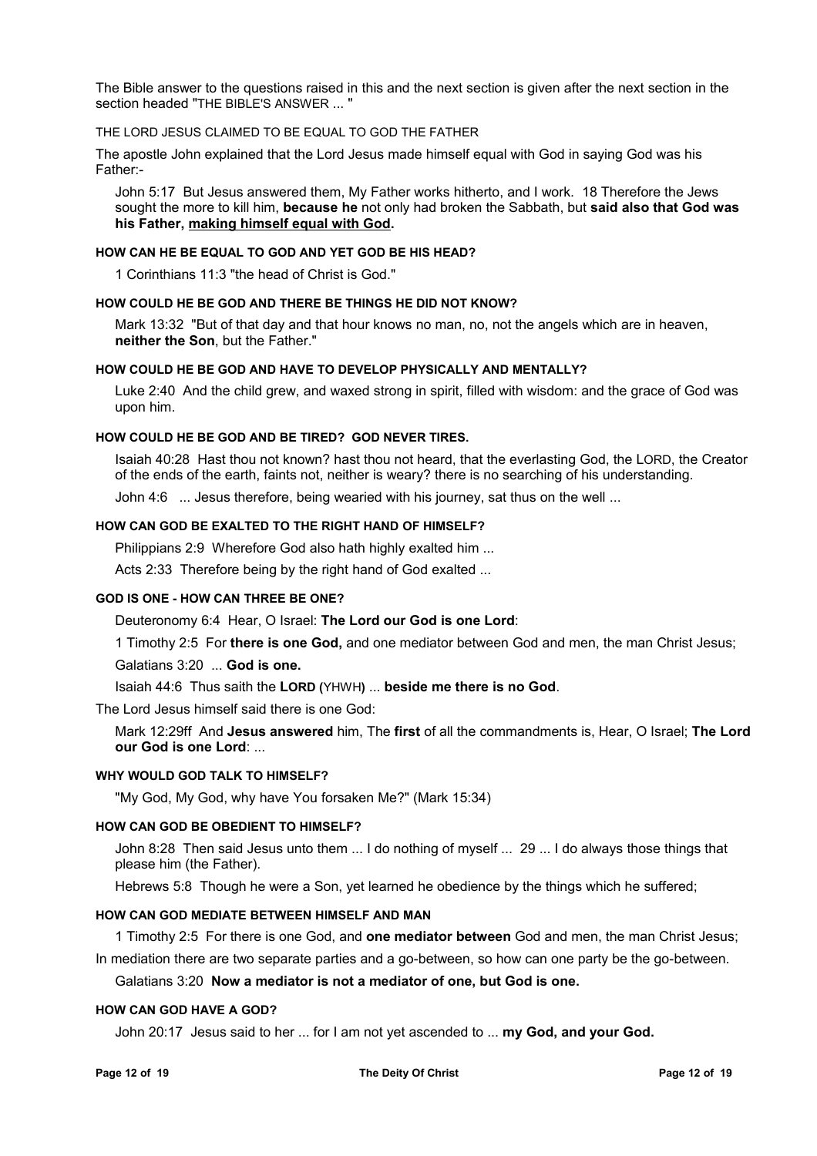The Bible answer to the questions raised in this and the next section is given after the next section in the section headed "THE BIBLE'S ANSWER ... "

# THE LORD JESUS CLAIMED TO BE FOUAL TO GOD THE FATHER

The apostle John explained that the Lord Jesus made himself equal with God in saying God was his Father:-

John 5:17 But Jesus answered them, My Father works hitherto, and I work. 18 Therefore the Jews sought the more to kill him, **because he** not only had broken the Sabbath, but **said also that God was his Father, making himself equal with God.**

# **HOW CAN HE BE EQUAL TO GOD AND YET GOD BE HIS HEAD?**

1 Corinthians 11:3 "the head of Christ is God."

### **HOW COULD HE BE GOD AND THERE BE THINGS HE DID NOT KNOW?**

Mark 13:32 "But of that day and that hour knows no man, no, not the angels which are in heaven, **neither the Son**, but the Father."

# **HOW COULD HE BE GOD AND HAVE TO DEVELOP PHYSICALLY AND MENTALLY?**

Luke 2:40 And the child grew, and waxed strong in spirit, filled with wisdom: and the grace of God was upon him.

### **HOW COULD HE BE GOD AND BE TIRED? GOD NEVER TIRES.**

Isaiah 40:28 Hast thou not known? hast thou not heard, that the everlasting God, the LORD, the Creator of the ends of the earth, faints not, neither is weary? there is no searching of his understanding.

John 4:6 ... Jesus therefore, being wearied with his journey, sat thus on the well ...

#### **HOW CAN GOD BE EXALTED TO THE RIGHT HAND OF HIMSELF?**

Philippians 2:9 Wherefore God also hath highly exalted him ...

Acts 2:33 Therefore being by the right hand of God exalted ...

# **GOD IS ONE - HOW CAN THREE BE ONE?**

Deuteronomy 6:4 Hear, O Israel: **The Lord our God is one Lord**:

1 Timothy 2:5 For **there is one God,** and one mediator between God and men, the man Christ Jesus; Galatians 3:20 ... **God is one.**

Isaiah 44:6Thus saith the **LORD (**YHWH**)** ... **beside me there is no God**.

The Lord Jesus himself said there is one God:

Mark 12:29ff And **Jesus answered** him, The **first** of all the commandments is, Hear, O Israel; **The Lord our God is one Lord**: ...

# **WHY WOULD GOD TALK TO HIMSELF?**

"My God, My God, why have You forsaken Me?" (Mark 15:34)

# **HOW CAN GOD BE OBEDIENT TO HIMSELF?**

John 8:28 Then said Jesus unto them ... I do nothing of myself ... 29 ... I do always those things that please him (the Father).

Hebrews 5:8 Though he were a Son, yet learned he obedience by the things which he suffered;

### **HOW CAN GOD MEDIATE BETWEEN HIMSELF AND MAN**

1 Timothy 2:5 For there is one God, and **one mediator between** God and men, the man Christ Jesus; In mediation there are two separate parties and a go-between, so how can one party be the go-between.

Galatians 3:20 **Now a mediator is not a mediator of one, but God is one.**

# **HOW CAN GOD HAVE A GOD?**

John 20:17 Jesus said to her ... for I am not yet ascended to ... **my God, and your God.**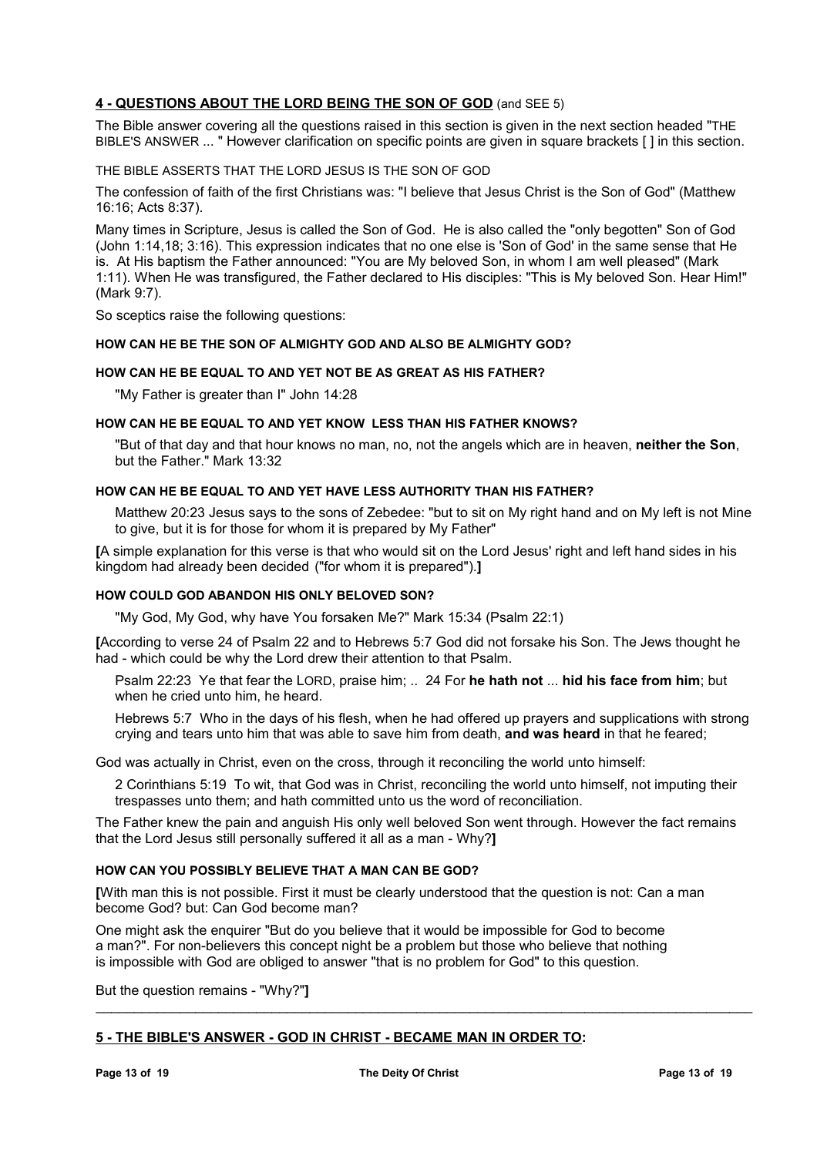# **4 - QUESTIONS ABOUT THE LORD BEING THE SON OF GOD** (and SEE 5)

The Bible answer covering all the questions raised in this section is given in the next section headed "THE BIBLE'S ANSWER ... " However clarification on specific points are given in square brackets [ ] in this section.

THE BIBLE ASSERTS THAT THE LORD JESUS IS THE SON OF GOD

The confession of faith of the first Christians was: "I believe that Jesus Christ is the Son of God" (Matthew 16:16; Acts 8:37).

Many times in Scripture, Jesus is called the Son of God. He is also called the "only begotten" Son of God (John 1:14,18; 3:16). This expression indicates that no one else is 'Son of God' in the same sense that He is. At His baptism the Father announced: "You are My beloved Son, in whom I am well pleased" (Mark 1:11). When He was transfigured, the Father declared to His disciples: "This is My beloved Son. Hear Him!" (Mark 9:7).

So sceptics raise the following questions:

## **HOW CAN HE BE THE SON OF ALMIGHTY GOD AND ALSO BE ALMIGHTY GOD?**

### **HOW CAN HE BE EQUAL TO AND YET NOT BE AS GREAT AS HIS FATHER?**

"My Father is greater than I" John 14:28

### **HOW CAN HE BE EQUAL TO AND YET KNOW LESS THAN HIS FATHER KNOWS?**

"But of that day and that hour knows no man, no, not the angels which are in heaven, **neither the Son**, but the Father." Mark 13:32

# **HOW CAN HE BE EQUAL TO AND YET HAVE LESS AUTHORITY THAN HIS FATHER?**

Matthew 20:23 Jesus says to the sons of Zebedee: "but to sit on My right hand and on My left is not Mine to give, but it is for those for whom it is prepared by My Father"

**[**A simple explanation for this verse is that who would sit on the Lord Jesus' right and left hand sides in his kingdom had already been decided ("for whom it is prepared").**]**

# **HOW COULD GOD ABANDON HIS ONLY BELOVED SON?**

"My God, My God, why have You forsaken Me?" Mark 15:34 (Psalm 22:1)

**[**According to verse 24 of Psalm 22 and to Hebrews 5:7 God did not forsake his Son. The Jews thought he had - which could be why the Lord drew their attention to that Psalm.

Psalm 22:23 Ye that fear the LORD, praise him; .. 24 For **he hath not** ... **hid his face from him**; but when he cried unto him, he heard.

Hebrews 5:7 Who in the days of his flesh, when he had offered up prayers and supplications with strong crying and tears unto him that was able to save him from death, **and was heard** in that he feared;

God was actually in Christ, even on the cross, through it reconciling the world unto himself:

2 Corinthians 5:19 To wit, that God was in Christ, reconciling the world unto himself, not imputing their trespasses unto them; and hath committed unto us the word of reconciliation.

The Father knew the pain and anguish His only well beloved Son went through. However the fact remains that the Lord Jesus still personally suffered it all as a man - Why?**]**

### **HOW CAN YOU POSSIBLY BELIEVE THAT A MAN CAN BE GOD?**

**[**With man this is not possible. First it must be clearly understood that the question is not: Can a man become God? but: Can God become man?

One might ask the enquirer "But do you believe that it would be impossible for God to become a man?". For non-believers this concept night be a problem but those who believe that nothing is impossible with God are obliged to answer "that is no problem for God" to this question.

But the question remains - "Why?"**]**

# **5 - THE BIBLE'S ANSWER - GOD IN CHRIST - BECAME MAN IN ORDER TO:**

 $\_$  , and the set of the set of the set of the set of the set of the set of the set of the set of the set of the set of the set of the set of the set of the set of the set of the set of the set of the set of the set of th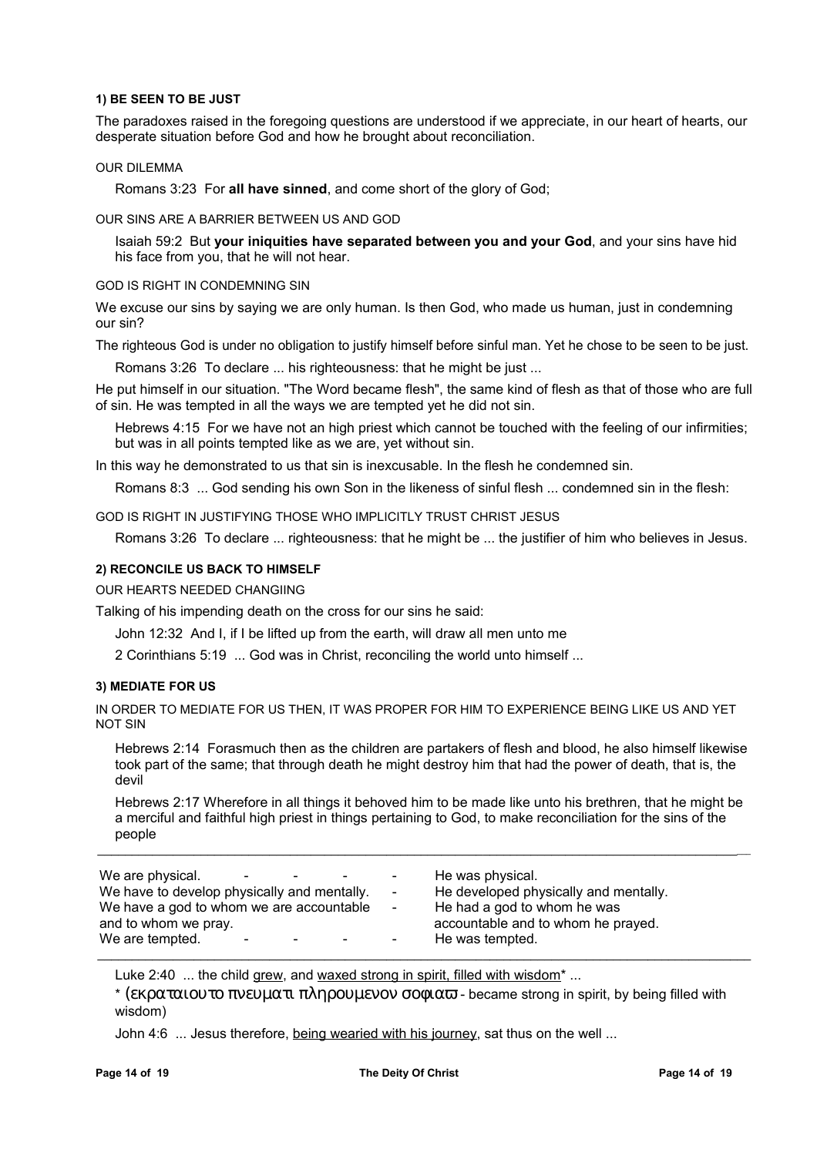## **1) BE SEEN TO BE JUST**

The paradoxes raised in the foregoing questions are understood if we appreciate, in our heart of hearts, our desperate situation before God and how he brought about reconciliation.

#### OUR DILEMMA

Romans 3:23 For **all have sinned**, and come short of the glory of God;

### OUR SINS ARE A BARRIER BETWEEN US AND GOD

Isaiah 59:2 But **your iniquities have separated between you and your God**, and your sins have hid his face from you, that he will not hear.

#### GOD IS RIGHT IN CONDEMNING SIN

We excuse our sins by saying we are only human. Is then God, who made us human, just in condemning our sin?

The righteous God is under no obligation to justify himself before sinful man. Yet he chose to be seen to be just.

Romans 3:26 To declare ... his righteousness: that he might be just ...

He put himself in our situation. "The Word became flesh", the same kind of flesh as that of those who are full of sin. He was tempted in all the ways we are tempted yet he did not sin.

Hebrews 4:15 For we have not an high priest which cannot be touched with the feeling of our infirmities; but was in all points tempted like as we are, yet without sin.

In this way he demonstrated to us that sin is inexcusable. In the flesh he condemned sin.

Romans 8:3 ... God sending his own Son in the likeness of sinful flesh ... condemned sin in the flesh:

GOD IS RIGHT IN JUSTIFYING THOSE WHO IMPLICITLY TRUST CHRIST JESUS

Romans 3:26 To declare ... righteousness: that he might be ... the justifier of him who believes in Jesus.

### **2) RECONCILE US BACK TO HIMSELF**

OUR HEARTS NEEDED CHANGIING

Talking of his impending death on the cross for our sins he said:

John 12:32 And I, if I be lifted up from the earth, will draw all men unto me

2 Corinthians 5:19 ... God was in Christ, reconciling the world unto himself ...

# **3) MEDIATE FOR US**

IN ORDER TO MEDIATE FOR US THEN, IT WAS PROPER FOR HIM TO EXPERIENCE BEING LIKE US AND YET NOT SIN

Hebrews 2:14 Forasmuch then as the children are partakers of flesh and blood, he also himself likewise took part of the same; that through death he might destroy him that had the power of death, that is, the devil

Hebrews 2:17 Wherefore in all things it behoved him to be made like unto his brethren, that he might be a merciful and faithful high priest in things pertaining to God, to make reconciliation for the sins of the people

\_\_\_\_\_\_\_\_\_\_\_\_\_\_\_\_\_\_\_\_\_\_\_\_\_\_\_\_\_\_\_\_\_\_\_\_\_\_\_\_\_\_\_\_\_\_\_\_\_\_\_\_\_\_\_\_\_\_\_\_\_\_\_\_\_\_\_\_\_\_\_\_\_\_\_\_\_\_\_\_\_\_\_\_\_\_\_\_\_\_\_\_\_\_\_\_

| We are physical.<br>$\overline{\phantom{0}}$<br>$\overline{\phantom{a}}$<br>$\sim$ | $\blacksquare$           | He was physical.                      |
|------------------------------------------------------------------------------------|--------------------------|---------------------------------------|
| We have to develop physically and mentally.                                        | $\sim$                   | He developed physically and mentally. |
| We have a god to whom we are accountable                                           | $\blacksquare$           | He had a god to whom he was           |
| and to whom we pray.                                                               |                          | accountable and to whom he prayed.    |
| We are tempted.<br>$\overline{\phantom{0}}$<br>$\sim$<br>$\overline{\phantom{0}}$  | $\overline{\phantom{0}}$ | He was tempted.                       |
|                                                                                    |                          |                                       |

Luke 2:40 ... the child grew, and waxed strong in spirit, filled with wisdom<sup>\*</sup> ...

\* (εκραταιουτο πνευματι πληρουμενον σοφια $\overline{\omega}$  - became strong in spirit, by being filled with wisdom)

John 4:6 ... Jesus therefore, being wearied with his journey, sat thus on the well ...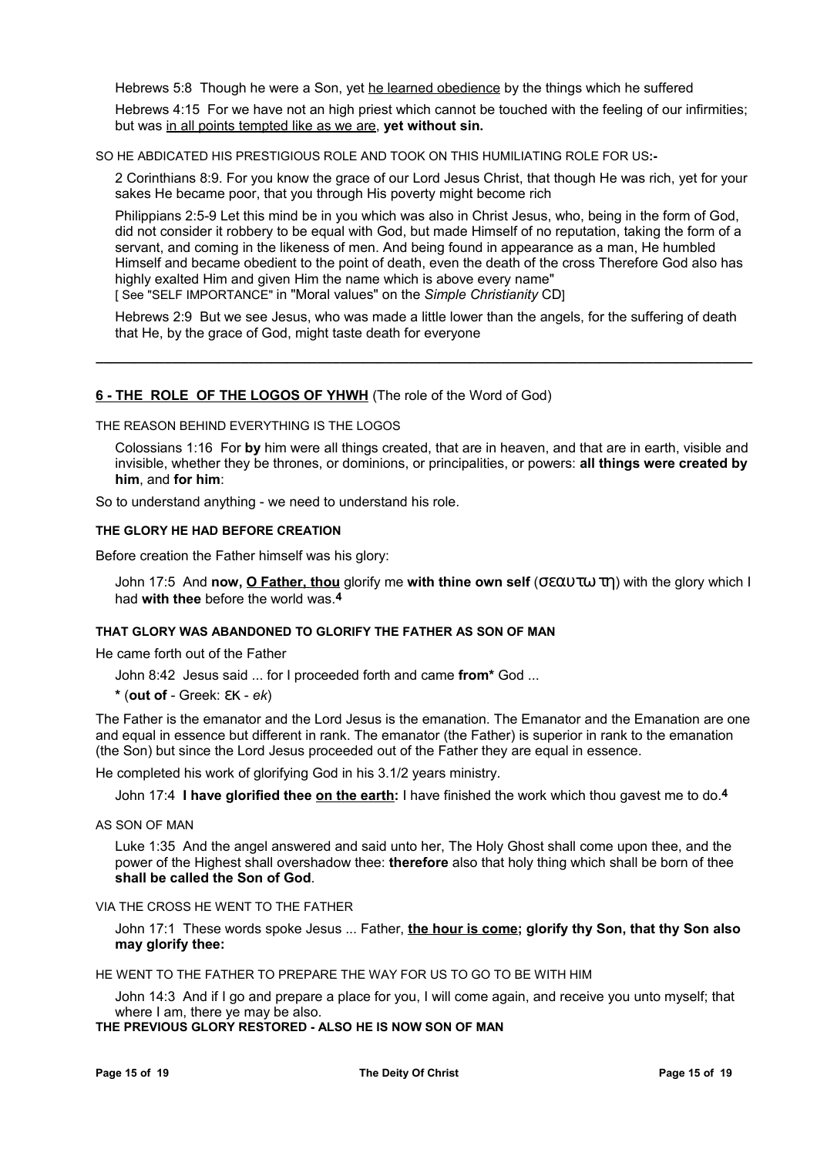Hebrews 5:8 Though he were a Son, yet he learned obedience by the things which he suffered

Hebrews 4:15 For we have not an high priest which cannot be touched with the feeling of our infirmities; but was in all points tempted like as we are, **yet without sin.**

SO HE ABDICATED HIS PRESTIGIOUS ROLE AND TOOK ON THIS HUMILIATING ROLE FOR US**:-**

2 Corinthians 8:9. For you know the grace of our Lord Jesus Christ, that though He was rich, yet for your sakes He became poor, that you through His poverty might become rich

Philippians 2:5-9 Let this mind be in you which was also in Christ Jesus, who, being in the form of God, did not consider it robbery to be equal with God, but made Himself of no reputation, taking the form of a servant, and coming in the likeness of men. And being found in appearance as a man, He humbled Himself and became obedient to the point of death, even the death of the cross Therefore God also has highly exalted Him and given Him the name which is above every name" [ See "SELF IMPORTANCE" in "Moral values" on the *Simple Christianity* CD]

Hebrews 2:9 But we see Jesus, who was made a little lower than the angels, for the suffering of death that He, by the grace of God, might taste death for everyone

**\_\_\_\_\_\_\_\_\_\_\_\_\_\_\_\_\_\_\_\_\_\_\_\_\_\_\_\_\_\_\_\_\_\_\_\_\_\_\_\_\_\_\_\_\_\_\_\_\_\_\_\_\_\_\_\_\_\_\_\_\_\_\_\_\_\_\_\_\_\_\_\_\_\_\_\_\_\_\_\_\_\_\_\_\_\_**

# **6 - THE ROLE OF THE LOGOS OF YHWH** (The role of the Word of God)

THE REASON BEHIND EVERYTHING IS THE LOGOS

Colossians 1:16 For **by** him were all things created, that are in heaven, and that are in earth, visible and invisible, whether they be thrones, or dominions, or principalities, or powers: **all things were created by him**, and **for him**:

So to understand anything - we need to understand his role.

### **THE GLORY HE HAD BEFORE CREATION**

Before creation the Father himself was his glory:

John 17:5 And **now, O Father, thou** glorify me **with thine own self** (σεαυτω τη) with the glory which I had **with thee** before the world was.**4**

# **THAT GLORY WAS ABANDONED TO GLORIFY THE FATHER AS SON OF MAN**

He came forth out of the Father

John 8:42 Jesus said ... for I proceeded forth and came **from\*** God ...

**\*** (**out of** - Greek: εκ - *ek*)

The Father is the emanator and the Lord Jesus is the emanation. The Emanator and the Emanation are one and equal in essence but different in rank. The emanator (the Father) is superior in rank to the emanation (the Son) but since the Lord Jesus proceeded out of the Father they are equal in essence.

He completed his work of glorifying God in his 3.1/2 years ministry.

John 17:4 **I have glorified thee on the earth:** I have finished the work which thou gavest me to do.**4**

AS SON OF MAN

Luke 1:35 And the angel answered and said unto her, The Holy Ghost shall come upon thee, and the power of the Highest shall overshadow thee: **therefore** also that holy thing which shall be born of thee **shall be called the Son of God**.

VIA THE CROSS HE WENT TO THE FATHER

John 17:1 These words spoke Jesus ... Father, **the hour is come; glorify thy Son, that thy Son also may glorify thee:**

HE WENT TO THE FATHER TO PREPARE THE WAY FOR US TO GO TO BE WITH HIM

John 14:3 And if I go and prepare a place for you, I will come again, and receive you unto myself; that where I am, there ye may be also.

**THE PREVIOUS GLORY RESTORED - ALSO HE IS NOW SON OF MAN**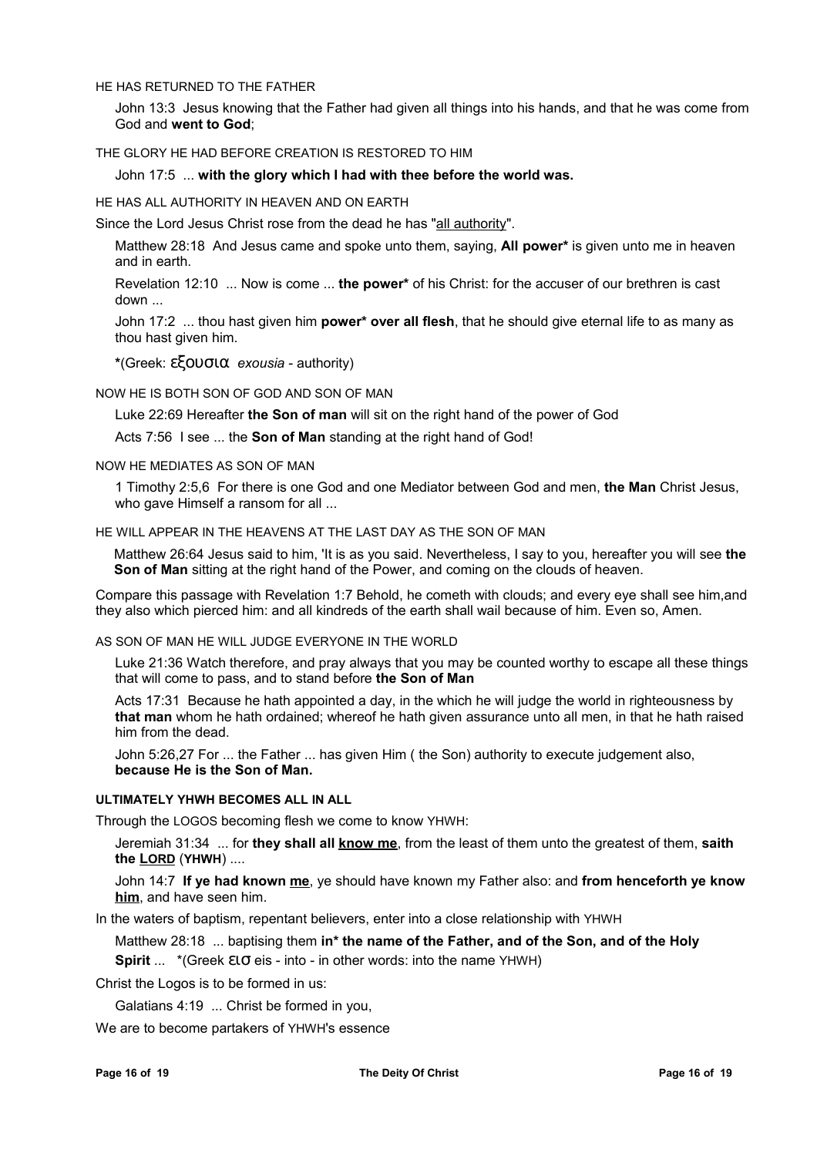HE HAS RETURNED TO THE FATHER

John 13:3 Jesus knowing that the Father had given all things into his hands, and that he was come from God and **went to God**;

THE GLORY HE HAD BEFORE CREATION IS RESTORED TO HIM

John 17:5 ... **with the glory which I had with thee before the world was.**

HE HAS ALL AUTHORITY IN HEAVEN AND ON EARTH

Since the Lord Jesus Christ rose from the dead he has "all authority".

Matthew 28:18 And Jesus came and spoke unto them, saying, **All power\*** is given unto me in heaven and in earth.

Revelation 12:10 ... Now is come ... **the power\*** of his Christ: for the accuser of our brethren is cast down ...

John 17:2 ... thou hast given him **power\* over all flesh**, that he should give eternal life to as many as thou hast given him.

**\***(Greek: εξουσια *exousia* - authority)

NOW HE IS BOTH SON OF GOD AND SON OF MAN

Luke 22:69 Hereafter **the Son of man** will sit on the right hand of the power of God

Acts 7:56 I see ... the **Son of Man** standing at the right hand of God!

### NOW HE MEDIATES AS SON OF MAN

1 Timothy 2:5,6 For there is one God and one Mediator between God and men, **the Man** Christ Jesus, who gave Himself a ransom for all ...

HE WILL APPEAR IN THE HEAVENS AT THE LAST DAY AS THE SON OF MAN

Matthew 26:64 Jesus said to him, 'It is as you said. Nevertheless, I say to you, hereafter you will see **the Son of Man** sitting at the right hand of the Power, and coming on the clouds of heaven.

Compare this passage with Revelation 1:7 Behold, he cometh with clouds; and every eye shall see him,and they also which pierced him: and all kindreds of the earth shall wail because of him. Even so, Amen.

AS SON OF MAN HE WILL JUDGE EVERYONE IN THE WORLD

Luke 21:36 Watch therefore, and pray always that you may be counted worthy to escape all these things that will come to pass, and to stand before **the Son of Man**

Acts 17:31 Because he hath appointed a day, in the which he will judge the world in righteousness by **that man** whom he hath ordained; whereof he hath given assurance unto all men, in that he hath raised him from the dead.

John 5:26,27 For ... the Father ... has given Him ( the Son) authority to execute judgement also, **because He is the Son of Man.**

## **ULTIMATELY YHWH BECOMES ALL IN ALL**

Through the LOGOS becoming flesh we come to know YHWH:

Jeremiah 31:34 ... for **they shall all know me**, from the least of them unto the greatest of them, **saith the L ORD** (**YHWH**) ....

John 14:7 **If ye had known me**, ye should have known my Father also: and **from henceforth ye know him**, and have seen him.

In the waters of baptism, repentant believers, enter into a close relationship with YHWH

Matthew 28:18 ... baptising them **in\* the name of the Father, and of the Son, and of the Holy Spirit** ... \*(Greek εισ eis - into - in other words: into the name YHWH)

Christ the Logos is to be formed in us:

Galatians 4:19 ... Christ be formed in you,

We are to become partakers of YHWH's essence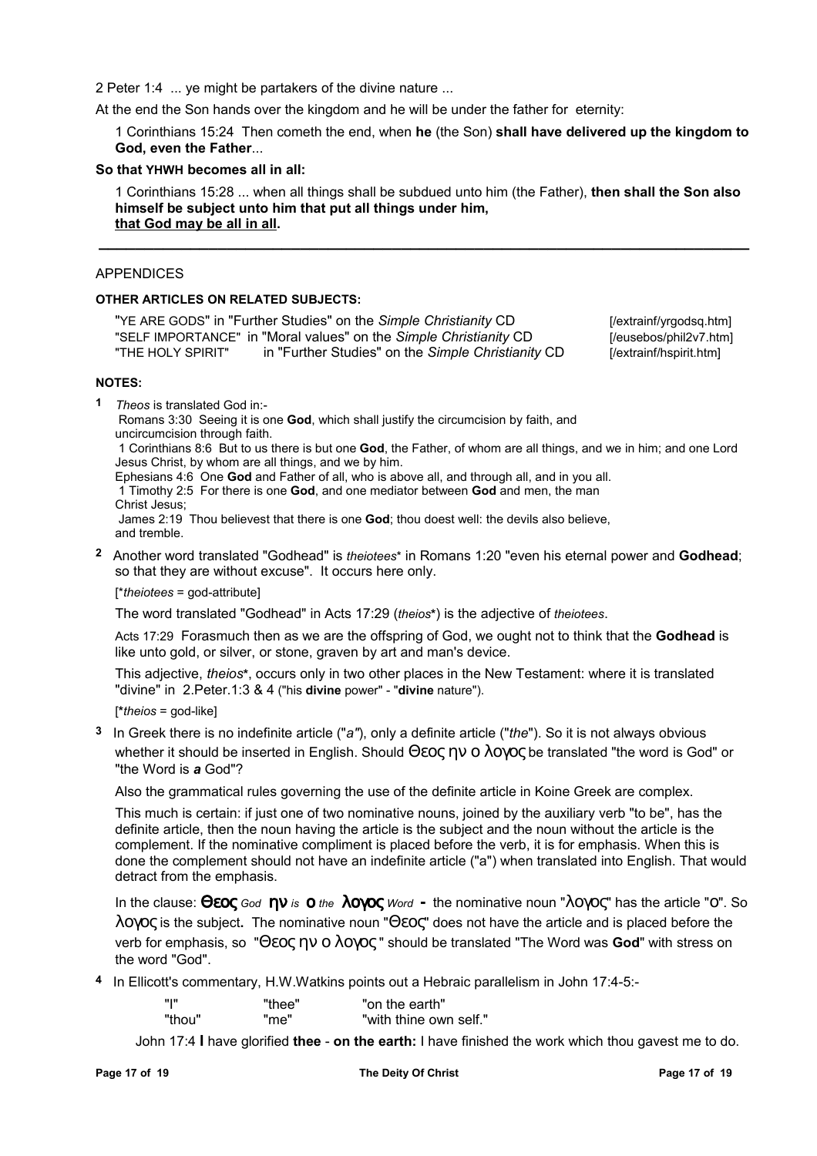2 Peter 1:4 ... ye might be partakers of the divine nature ...

At the end the Son hands over the kingdom and he will be under the father for eternity:

1 Corinthians 15:24 Then cometh the end, when **he** (the Son) **shall have delivered up the kingdom to God, even the Father**...

**So that YHWH becomes all in all:**

1 Corinthians 15:28 ... when all things shall be subdued unto him (the Father), **then shall the Son also himself be subject unto him that put all things under him, that God may be all in all.**

**\_\_\_\_\_\_\_\_\_\_\_\_\_\_\_\_\_\_\_\_\_\_\_\_\_\_\_\_\_\_\_\_\_\_\_\_\_\_\_\_\_\_\_\_\_\_\_\_\_\_\_\_\_\_\_\_\_\_\_\_\_\_\_\_\_\_\_\_\_\_\_**

### APPENDICES

# **OTHER ARTICLES ON RELATED SUBJECTS:**

"YE ARE GODS" in "Further Studies" on the *Simple Christianity* CD [/extrainf/yrgodsq.htm] "SELF IMPORTANCE" in "Moral values" on the *Simple Christianity* CD [/eusebos/phil2v7.htm] in "Further Studies" on the *Simple Christianity* CD [/extrainf/hspirit.htm]

### **NOTES:**

**1** *Theos* is translated God in:-

 Romans 3:30 Seeing it is one **God**, which shall justify the circumcision by faith, and uncircumcision through faith.

 1 Corinthians 8:6 But to us there is but one **God**, the Father, of whom are all things, and we in him; and one Lord Jesus Christ, by whom are all things, and we by him.

Ephesians 4:6 One **God** and Father of all, who is above all, and through all, and in you all. 1 Timothy 2:5 For there is one **God**, and one mediator between **God** and men, the man

Christ Jesus;

 James 2:19 Thou believest that there is one **God**; thou doest well: the devils also believe, and tremble.

**2** Another word translated "Godhead" is *theiotees*\* in Romans 1:20 "even his eternal power and **Godhead**; so that they are without excuse". It occurs here only.

### [\**theiotees* = god-attribute]

The word translated "Godhead" in Acts 17:29 (*theios***\***) is the adjective of *theiotees*.

Acts 17:29 Forasmuch then as we are the offspring of God, we ought not to think that the **Godhead** is like unto gold, or silver, or stone, graven by art and man's device.

This adjective, *theios***\***, occurs only in two other places in the New Testament: where it is translated "divine" in 2.Peter.1:3 & 4 ("his **divine** power" - "**divine** nature").

### [**\****theios* = god-like]

**3** In Greek there is no indefinite article ("*a"*), only a definite article ("*the*"). So it is not always obvious whether it should be inserted in English. Should Θεος ην ο λογος be translated "the word is God" or "the Word is *a* God"?

Also the grammatical rules governing the use of the definite article in Koine Greek are complex.

This much is certain: if just one of two nominative nouns, joined by the auxiliary verb "to be", has the definite article, then the noun having the article is the subject and the noun without the article is the complement. If the nominative compliment is placed before the verb, it is for emphasis. When this is done the complement should not have an indefinite article ("a") when translated into English. That would detract from the emphasis.

In the clause: Θεος *God* ην *is* ο *the* λογος *Word* **-** the nominative noun "λογος" has the article "ο". So λογος is the subject**.** The nominative noun "Θεος" does not have the article and is placed before the verb for emphasis, so "Θεος ην ο λογος " should be translated "The Word was **God**" with stress on the word "God".

**4** In Ellicott's commentary, H.W.Watkins points out a Hebraic parallelism in John 17:4-5:-

| ייויי  | "thee" | "on the earth"         |
|--------|--------|------------------------|
| "thou" | "me"   | "with thine own self." |

John 17:4 **I** have glorified **thee** - **on the earth:** I have finished the work which thou gavest me to do.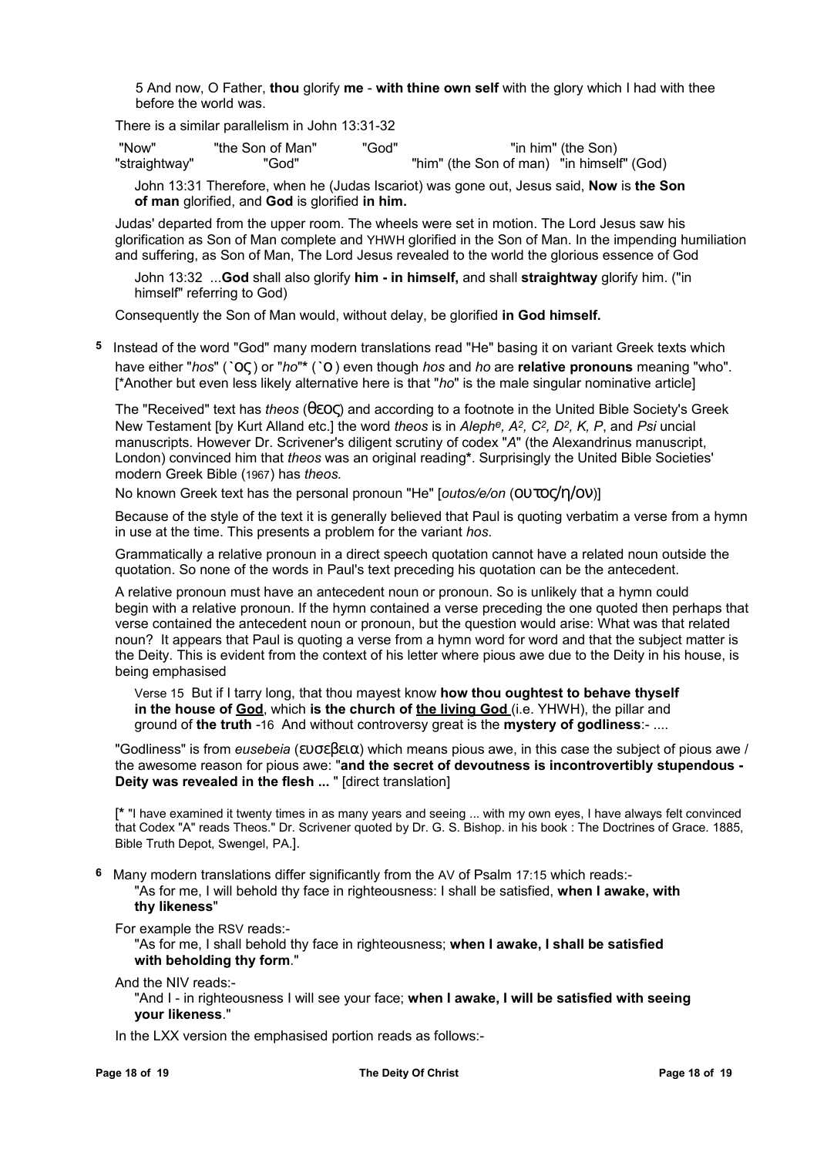5 And now, O Father, **thou** glorify **me** - **with thine own self** with the glory which I had with thee before the world was.

There is a similar parallelism in John 13:31-32

 "Now" "the Son of Man" "God" "in him" (the Son) "straightway" "God" "him" (the Son of man) "in himself" (God)

John 13:31 Therefore, when he (Judas Iscariot) was gone out, Jesus said, **Now** is **the Son of man** glorified, and **God** is glorified **in him.**

Judas' departed from the upper room. The wheels were set in motion. The Lord Jesus saw his glorification as Son of Man complete and YHWH glorified in the Son of Man. In the impending humiliation and suffering, as Son of Man, The Lord Jesus revealed to the world the glorious essence of God

John 13:32 ...**God** shall also glorify **him - in himself,** and shall **straightway** glorify him. ("in himself" referring to God)

Consequently the Son of Man would, without delay, be glorified **in God himself.**

**5** Instead of the word "God" many modern translations read "He" basing it on variant Greek texts which have either "*hos*" ( **`**ος ) or "*ho*"**\*** (**`**ο ) even though *hos* and *ho* are **relative pronouns** meaning "who". [\*Another but even less likely alternative here is that "*ho*" is the male singular nominative article]

The "Received" text has *theos* (θεος) and according to a footnote in the United Bible Society's Greek New Testament [by Kurt Alland etc.] the word *theos* is in *Alephe, A2, C2, D2, K, P*, and *Psi* uncial manuscripts. However Dr. Scrivener's diligent scrutiny of codex "*A*" (the Alexandrinus manuscript, London) convinced him that *theos* was an original reading**\***. Surprisingly the United Bible Societies' modern Greek Bible (1967) has *theos.*

No known Greek text has the personal pronoun "He" [*outos/e/on* (ουτος/η/ον)]

Because of the style of the text it is generally believed that Paul is quoting verbatim a verse from a hymn in use at the time. This presents a problem for the variant *hos*.

Grammatically a relative pronoun in a direct speech quotation cannot have a related noun outside the quotation. So none of the words in Paul's text preceding his quotation can be the antecedent.

A relative pronoun must have an antecedent noun or pronoun. So is unlikely that a hymn could begin with a relative pronoun. If the hymn contained a verse preceding the one quoted then perhaps that verse contained the antecedent noun or pronoun, but the question would arise: What was that related noun? It appears that Paul is quoting a verse from a hymn word for word and that the subject matter is the Deity. This is evident from the context of his letter where pious awe due to the Deity in his house, is being emphasised

Verse 15 But if I tarry long, that thou mayest know **how thou oughtest to behave thyself in the house of God**, which **is the church of the living God** (i.e. YHWH), the pillar and ground of **the truth** -16 And without controversy great is the **mystery of godliness**:- ....

"Godliness" is from *eusebeia* (ευσεβεια) which means pious awe, in this case the subject of pious awe / the awesome reason for pious awe: "**and the secret of devoutness is incontrovertibly stupendous - Deity was revealed in the flesh ...** " [direct translation]

[**\*** "I have examined it twenty times in as many years and seeing ... with my own eyes, I have always felt convinced that Codex "A" reads Theos." Dr. Scrivener quoted by Dr. G. S. Bishop. in his book : The Doctrines of Grace. 1885, Bible Truth Depot, Swengel, PA.].

**6** Many modern translations differ significantly from the AV of Psalm 17:15 which reads:- "As for me, I will behold thy face in righteousness: I shall be satisfied, **when I awake, with thy likeness**"

For example the RSV reads:-

"As for me, I shall behold thy face in righteousness; **when I awake, I shall be satisfied with beholding thy form**."

And the NIV reads:-

"And I - in righteousness I will see your face; **when I awake, I will be satisfied with seeing your likeness**."

In the LXX version the emphasised portion reads as follows:-